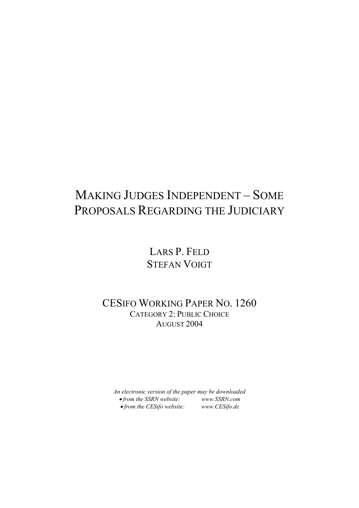## MAKING JUDGES INDEPENDENT – SOME PROPOSALS REGARDING THE JUDICIARY

LARS P. FELD STEFAN VOIGT

CESIFO WORKING PAPER NO. 1260 CATEGORY 2: PUBLIC CHOICE AUGUST 2004

*An electronic version of the paper may be downloaded*  • *from the SSRN website: [www.SSRN.com](http://www.ssrn.com/)* • *from the CESifo website: www.CES[ifo.de](http://www.cesifo.de/)*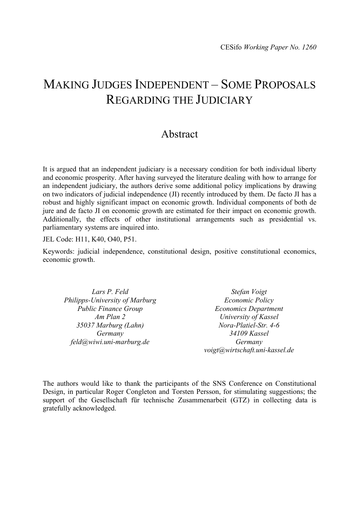### MAKING JUDGES INDEPENDENT – SOME PROPOSALS REGARDING THE JUDICIARY

### Abstract

It is argued that an independent judiciary is a necessary condition for both individual liberty and economic prosperity. After having surveyed the literature dealing with how to arrange for an independent judiciary, the authors derive some additional policy implications by drawing on two indicators of judicial independence (JI) recently introduced by them. De facto JI has a robust and highly significant impact on economic growth. Individual components of both de jure and de facto JI on economic growth are estimated for their impact on economic growth. Additionally, the effects of other institutional arrangements such as presidential vs. parliamentary systems are inquired into.

JEL Code: H11, K40, O40, P51.

Keywords: judicial independence, constitutional design, positive constitutional economics, economic growth.

*Lars P. Feld Philipps-University of Marburg Public Finance Group Am Plan 2 35037 Marburg (Lahn) Germany feld@wiwi.uni-marburg.de* 

*Stefan Voigt Economic Policy Economics Department University of Kassel Nora-Platiel-Str. 4-6 34109 Kassel Germany voigt@wirtschaft.uni-kassel.de* 

The authors would like to thank the participants of the SNS Conference on Constitutional Design, in particular Roger Congleton and Torsten Persson, for stimulating suggestions; the support of the Gesellschaft für technische Zusammenarbeit (GTZ) in collecting data is gratefully acknowledged.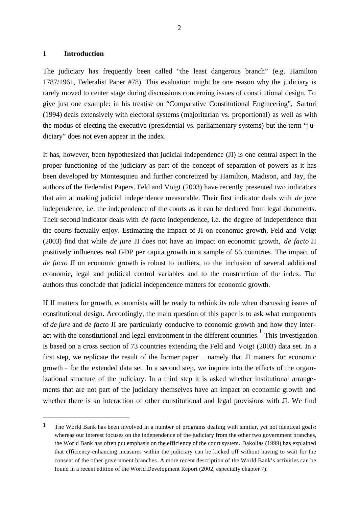#### **1 Introduction**

l

The judiciary has frequently been called "the least dangerous branch" (e.g. Hamilton 1787/1961, Federalist Paper #78). This evaluation might be one reason why the judiciary is rarely moved to center stage during discussions concerning issues of constitutional design. To give just one example: in his treatise on "Comparative Constitutional Engineering", Sartori (1994) deals extensively with electoral systems (majoritarian vs. proportional) as well as with the modus of electing the executive (presidential vs. parliamentary systems) but the term "judiciary" does not even appear in the index.

It has, however, been hypothesized that judicial independence (JI) is one central aspect in the proper functioning of the judiciary as part of the concept of separation of powers as it has been developed by Montesquieu and further concretized by Hamilton, Madison, and Jay, the authors of the Federalist Papers. Feld and Voigt (2003) have recently presented two indicators that aim at making judicial independence measurable. Their first indicator deals with *de jure* independence, i.e. the independence of the courts as it can be deduced from legal documents. Their second indicator deals with *de facto* independence, i.e. the degree of independence that the courts factually enjoy. Estimating the impact of JI on economic growth, Feld and Voigt (2003) find that while *de jure* JI does not have an impact on economic growth, *de facto* JI positively influences real GDP per capita growth in a sample of 56 countries. The impact of *de facto* JI on economic growth is robust to outliers, to the inclusion of several additional economic, legal and political control variables and to the construction of the index. The authors thus conclude that judicial independence matters for economic growth.

If JI matters for growth, economists will be ready to rethink its role when discussing issues of constitutional design. Accordingly, the main question of this paper is to ask what components of *de jure* and *de facto* JI are particularly conducive to economic growth and how they interact with the constitutional and legal environment in the different countries.<sup>1</sup> This investigation is based on a cross section of 73 countries extending the Feld and Voigt (2003) data set. In a first step, we replicate the result of the former paper – namely that JI matters for economic growth – for the extended data set. In a second step, we inquire into the effects of the organizational structure of the judiciary. In a third step it is asked whether institutional arrangements that are not part of the judiciary themselves have an impact on economic growth and whether there is an interaction of other constitutional and legal provisions with JI. We find

<sup>&</sup>lt;sup>1</sup> The World Bank has been involved in a number of programs dealing with similar, yet not identical goals: whereas our interest focuses on the independence of the judiciary from the other two government branches, the World Bank has often put emphasis on the efficiency of the court system. Dakolias (1999) has explained that efficiency-enhancing measures within the judiciary can be kicked off without having to wait for the consent of the other government branches. A more recent description of the World Bank's activities can be found in a recent edition of the World Development Report (2002, especially chapter 7).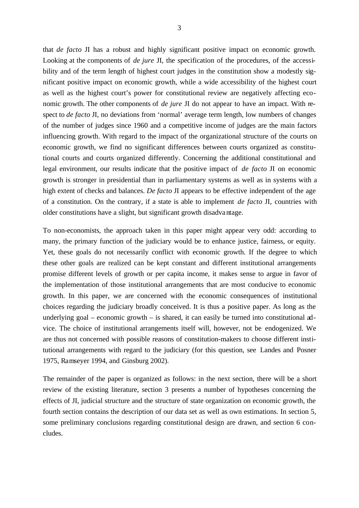that *de facto* JI has a robust and highly significant positive impact on economic growth. Looking at the components of *de jure* JI, the specification of the procedures, of the accessibility and of the term length of highest court judges in the constitution show a modestly significant positive impact on economic growth, while a wide accessibility of the highest court as well as the highest court's power for constitutional review are negatively affecting economic growth. The other components of *de jure* JI do not appear to have an impact. With respect to *de facto* JI, no deviations from 'normal' average term length, low numbers of changes of the number of judges since 1960 and a competitive income of judges are the main factors influencing growth. With regard to the impact of the organizational structure of the courts on economic growth, we find no significant differences between courts organized as constitutional courts and courts organized differently. Concerning the additional constitutional and legal environment, our results indicate that the positive impact of *de facto* JI on economic growth is stronger in presidential than in parliamentary systems as well as in systems with a high extent of checks and balances. *De facto* JI appears to be effective independent of the age of a constitution. On the contrary, if a state is able to implement *de facto* JI, countries with older constitutions have a slight, but significant growth disadvantage.

To non-economists, the approach taken in this paper might appear very odd: according to many, the primary function of the judiciary would be to enhance justice, fairness, or equity. Yet, these goals do not necessarily conflict with economic growth. If the degree to which these other goals are realized can be kept constant and different institutional arrangements promise different levels of growth or per capita income, it makes sense to argue in favor of the implementation of those institutional arrangements that are most conducive to economic growth. In this paper, we are concerned with the economic consequences of institutional choices regarding the judiciary broadly conceived. It is thus a positive paper. As long as the underlying goal – economic growth – is shared, it can easily be turned into constitutional advice. The choice of institutional arrangements itself will, however, not be endogenized. We are thus not concerned with possible reasons of constitution-makers to choose different institutional arrangements with regard to the judiciary (for this question, see Landes and Posner 1975, Ramseyer 1994, and Ginsburg 2002).

The remainder of the paper is organized as follows: in the next section, there will be a short review of the existing literature, section 3 presents a number of hypotheses concerning the effects of JI, judicial structure and the structure of state organization on economic growth, the fourth section contains the description of our data set as well as own estimations. In section 5, some preliminary conclusions regarding constitutional design are drawn, and section 6 concludes.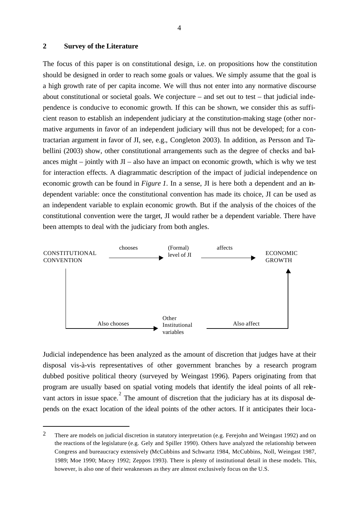#### **2 Survey of the Literature**

l

The focus of this paper is on constitutional design, i.e. on propositions how the constitution should be designed in order to reach some goals or values. We simply assume that the goal is a high growth rate of per capita income. We will thus not enter into any normative discourse about constitutional or societal goals. We conjecture – and set out to test – that judicial independence is conducive to economic growth. If this can be shown, we consider this as sufficient reason to establish an independent judiciary at the constitution-making stage (other normative arguments in favor of an independent judiciary will thus not be developed; for a contractarian argument in favor of JI, see, e.g., Congleton 2003). In addition, as Persson and Tabellini (2003) show, other constitutional arrangements such as the degree of checks and balances might – jointly with  $JI - also$  have an impact on economic growth, which is why we test for interaction effects. A diagrammatic description of the impact of judicial independence on economic growth can be found in *Figure 1*. In a sense, JI is here both a dependent and an independent variable: once the constitutional convention has made its choice, JI can be used as an independent variable to explain economic growth. But if the analysis of the choices of the constitutional convention were the target, JI would rather be a dependent variable. There have been attempts to deal with the judiciary from both angles.



Judicial independence has been analyzed as the amount of discretion that judges have at their disposal vis-à-vis representatives of other government branches by a research program dubbed positive political theory (surveyed by Weingast 1996). Papers originating from that program are usually based on spatial voting models that identify the ideal points of all relevant actors in issue space.<sup>2</sup> The amount of discretion that the judiciary has at its disposal depends on the exact location of the ideal points of the other actors. If it anticipates their loca-

<sup>&</sup>lt;sup>2</sup> There are models on judicial discretion in statutory interpretation (e.g. Ferejohn and Weingast 1992) and on the reactions of the legislature (e.g. Gely and Spiller 1990). Others have analyzed the relationship between Congress and bureaucracy extensively (McCubbins and Schwartz 1984, McCubbins, Noll, Weingast 1987, 1989; Moe 1990; Macey 1992; Zeppos 1993). There is plenty of institutional detail in these models. This, however, is also one of their weaknesses as they are almost exclusively focus on the U.S.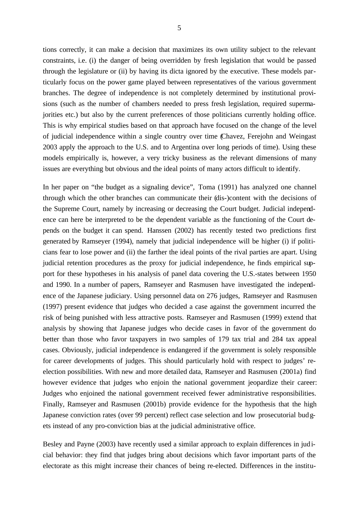tions correctly, it can make a decision that maximizes its own utility subject to the relevant constraints, i.e. (i) the danger of being overridden by fresh legislation that would be passed through the legislature or (ii) by having its dicta ignored by the executive. These models particularly focus on the power game played between representatives of the various government branches. The degree of independence is not completely determined by institutional provisions (such as the number of chambers needed to press fresh legislation, required supermajorities etc.) but also by the current preferences of those politicians currently holding office. This is why empirical studies based on that approach have focused on the change of the level of judicial independence within a single country over time (Chavez, Ferejohn and Weingast 2003 apply the approach to the U.S. and to Argentina over long periods of time). Using these models empirically is, however, a very tricky business as the relevant dimensions of many issues are everything but obvious and the ideal points of many actors difficult to identify.

In her paper on "the budget as a signaling device", Toma (1991) has analyzed one channel through which the other branches can communicate their (dis-)content with the decisions of the Supreme Court, namely by increasing or decreasing the Court budget. Judicial independence can here be interpreted to be the dependent variable as the functioning of the Court depends on the budget it can spend. Hanssen (2002) has recently tested two predictions first generated by Ramseyer (1994), namely that judicial independence will be higher (i) if politicians fear to lose power and (ii) the farther the ideal points of the rival parties are apart. Using judicial retention procedures as the proxy for judicial independence, he finds empirical support for these hypotheses in his analysis of panel data covering the U.S.-states between 1950 and 1990. In a number of papers, Ramseyer and Rasmusen have investigated the independence of the Japanese judiciary. Using personnel data on 276 judges, Ramseyer and Rasmusen (1997) present evidence that judges who decided a case against the government incurred the risk of being punished with less attractive posts. Ramseyer and Rasmusen (1999) extend that analysis by showing that Japanese judges who decide cases in favor of the government do better than those who favor taxpayers in two samples of 179 tax trial and 284 tax appeal cases. Obviously, judicial independence is endangered if the government is solely responsible for career developments of judges. This should particularly hold with respect to judges' reelection possibilities. With new and more detailed data, Ramseyer and Rasmusen (2001a) find however evidence that judges who enjoin the national government jeopardize their career: Judges who enjoined the national government received fewer administrative responsibilities. Finally, Ramseyer and Rasmusen (2001b) provide evidence for the hypothesis that the high Japanese conviction rates (over 99 percent) reflect case selection and low prosecutorial budgets instead of any pro-conviction bias at the judicial administrative office.

Besley and Payne (2003) have recently used a similar approach to explain differences in judicial behavior: they find that judges bring about decisions which favor important parts of the electorate as this might increase their chances of being re-elected. Differences in the institu-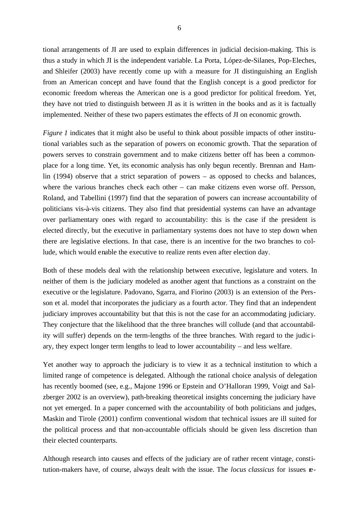tional arrangements of JI are used to explain differences in judicial decision-making. This is thus a study in which JI is the independent variable. La Porta, López-de-Silanes, Pop-Eleches, and Shleifer (2003) have recently come up with a measure for JI distinguishing an English from an American concept and have found that the English concept is a good predictor for economic freedom whereas the American one is a good predictor for political freedom. Yet, they have not tried to distinguish between JI as it is written in the books and as it is factually implemented. Neither of these two papers estimates the effects of JI on economic growth.

*Figure 1* indicates that it might also be useful to think about possible impacts of other institutional variables such as the separation of powers on economic growth. That the separation of powers serves to constrain government and to make citizens better off has been a commonplace for a long time. Yet, its economic analysis has only begun recently. Brennan and Hamlin (1994) observe that a strict separation of powers – as opposed to checks and balances, where the various branches check each other – can make citizens even worse off. Persson, Roland, and Tabellini (1997) find that the separation of powers can increase accountability of politicians vis-à-vis citizens. They also find that presidential systems can have an advantage over parliamentary ones with regard to accountability: this is the case if the president is elected directly, but the executive in parliamentary systems does not have to step down when there are legislative elections. In that case, there is an incentive for the two branches to collude, which would enable the executive to realize rents even after election day.

Both of these models deal with the relationship between executive, legislature and voters. In neither of them is the judiciary modeled as another agent that functions as a constraint on the executive or the legislature. Padovano, Sgarra, and Fiorino (2003) is an extension of the Persson et al. model that incorporates the judiciary as a fourth actor. They find that an independent judiciary improves accountability but that this is not the case for an accommodating judiciary. They conjecture that the likelihood that the three branches will collude (and that accountability will suffer) depends on the term-lengths of the three branches. With regard to the judic iary, they expect longer term lengths to lead to lower accountability – and less welfare.

Yet another way to approach the judiciary is to view it as a technical institution to which a limited range of competence is delegated. Although the rational choice analysis of delegation has recently boomed (see, e.g., Majone 1996 or Epstein and O'Halloran 1999, Voigt and Salzberger 2002 is an overview), path-breaking theoretical insights concerning the judiciary have not yet emerged. In a paper concerned with the accountability of both politicians and judges, Maskin and Tirole (2001) confirm conventional wisdom that technical issues are ill suited for the political process and that non-accountable officials should be given less discretion than their elected counterparts.

Although research into causes and effects of the judiciary are of rather recent vintage, constitution-makers have, of course, always dealt with the issue. The *locus classicus* for issues re-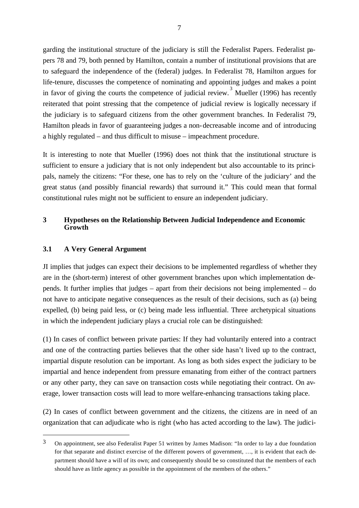garding the institutional structure of the judiciary is still the Federalist Papers. Federalist papers 78 and 79, both penned by Hamilton, contain a number of institutional provisions that are to safeguard the independence of the (federal) judges. In Federalist 78, Hamilton argues for life-tenure, discusses the competence of nominating and appointing judges and makes a point in favor of giving the courts the competence of judicial review.<sup>3</sup> Mueller (1996) has recently reiterated that point stressing that the competence of judicial review is logically necessary if the judiciary is to safeguard citizens from the other government branches. In Federalist 79, Hamilton pleads in favor of guaranteeing judges a non-decreasable income and of introducing a highly regulated – and thus difficult to misuse – impeachment procedure.

It is interesting to note that Mueller (1996) does not think that the institutional structure is sufficient to ensure a judiciary that is not only independent but also accountable to its principals, namely the citizens: "For these, one has to rely on the 'culture of the judiciary' and the great status (and possibly financial rewards) that surround it." This could mean that formal constitutional rules might not be sufficient to ensure an independent judiciary.

#### **3 Hypotheses on the Relationship Between Judicial Independence and Economic Growth**

#### **3.1 A Very General Argument**

l

JI implies that judges can expect their decisions to be implemented regardless of whether they are in the (short-term) interest of other government branches upon which implementation depends. It further implies that judges – apart from their decisions not being implemented – do not have to anticipate negative consequences as the result of their decisions, such as (a) being expelled, (b) being paid less, or (c) being made less influential. Three archetypical situations in which the independent judiciary plays a crucial role can be distinguished:

(1) In cases of conflict between private parties: If they had voluntarily entered into a contract and one of the contracting parties believes that the other side hasn't lived up to the contract, impartial dispute resolution can be important. As long as both sides expect the judiciary to be impartial and hence independent from pressure emanating from either of the contract partners or any other party, they can save on transaction costs while negotiating their contract. On average, lower transaction costs will lead to more welfare-enhancing transactions taking place.

(2) In cases of conflict between government and the citizens, the citizens are in need of an organization that can adjudicate who is right (who has acted according to the law). The judici-

 $3$  On appointment, see also Federalist Paper 51 written by James Madison: "In order to lay a due foundation for that separate and distinct exercise of the different powers of government, …, it is evident that each department should have a will of its own; and consequently should be so constituted that the members of each should have as little agency as possible in the appointment of the members of the others."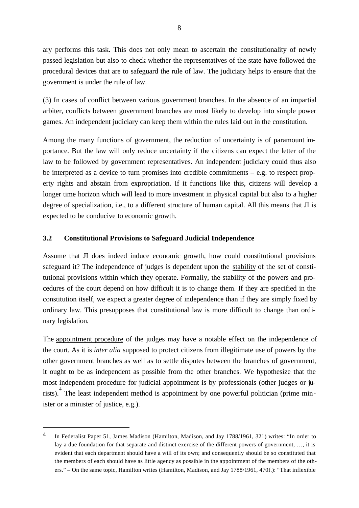ary performs this task. This does not only mean to ascertain the constitutionality of newly passed legislation but also to check whether the representatives of the state have followed the procedural devices that are to safeguard the rule of law. The judiciary helps to ensure that the government is under the rule of law.

(3) In cases of conflict between various government branches. In the absence of an impartial arbiter, conflicts between government branches are most likely to develop into simple power games. An independent judiciary can keep them within the rules laid out in the constitution.

Among the many functions of government, the reduction of uncertainty is of paramount importance. But the law will only reduce uncertainty if the citizens can expect the letter of the law to be followed by government representatives. An independent judiciary could thus also be interpreted as a device to turn promises into credible commitments – e.g. to respect property rights and abstain from expropriation. If it functions like this, citizens will develop a longer time horizon which will lead to more investment in physical capital but also to a higher degree of specialization, i.e., to a different structure of human capital. All this means that JI is expected to be conducive to economic growth.

#### **3.2 Constitutional Provisions to Safeguard Judicial Independence**

Assume that JI does indeed induce economic growth, how could constitutional provisions safeguard it? The independence of judges is dependent upon the stability of the set of constitutional provisions within which they operate. Formally, the stability of the powers and procedures of the court depend on how difficult it is to change them. If they are specified in the constitution itself, we expect a greater degree of independence than if they are simply fixed by ordinary law. This presupposes that constitutional law is more difficult to change than ordinary legislation.

The appointment procedure of the judges may have a notable effect on the independence of the court. As it is *inter alia* supposed to protect citizens from illegitimate use of powers by the other government branches as well as to settle disputes between the branches of government, it ought to be as independent as possible from the other branches. We hypothesize that the most independent procedure for judicial appointment is by professionals (other judges or jurists). <sup>4</sup> The least independent method is appointment by one powerful politician (prime minister or a minister of justice, e.g.).

<sup>4</sup> In Federalist Paper 51, James Madison (Hamilton, Madison, and Jay 1788/1961, 321) writes: "In order to lay a due foundation for that separate and distinct exercise of the different powers of government, …, it is evident that each department should have a will of its own; and consequently should be so constituted that the members of each should have as little agency as possible in the appointment of the members of the others." – On the same topic, Hamilton writes (Hamilton, Madison, and Jay 1788/1961, 470f.): "That inflexible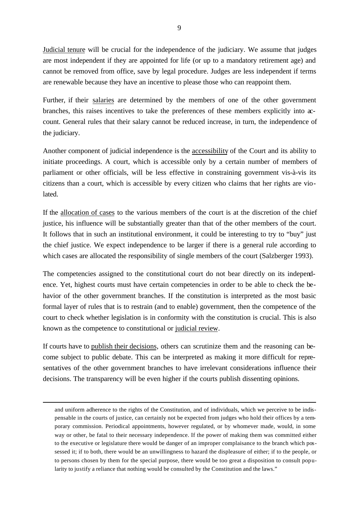Judicial tenure will be crucial for the independence of the judiciary. We assume that judges are most independent if they are appointed for life (or up to a mandatory retirement age) and cannot be removed from office, save by legal procedure. Judges are less independent if terms are renewable because they have an incentive to please those who can reappoint them.

Further, if their salaries are determined by the members of one of the other government branches, this raises incentives to take the preferences of these members explicitly into account. General rules that their salary cannot be reduced increase, in turn, the independence of the judiciary.

Another component of judicial independence is the accessibility of the Court and its ability to initiate proceedings. A court, which is accessible only by a certain number of members of parliament or other officials, will be less effective in constraining government vis-à-vis its citizens than a court, which is accessible by every citizen who claims that her rights are violated.

If the allocation of cases to the various members of the court is at the discretion of the chief justice, his influence will be substantially greater than that of the other members of the court. It follows that in such an institutional environment, it could be interesting to try to "buy" just the chief justice. We expect independence to be larger if there is a general rule according to which cases are allocated the responsibility of single members of the court (Salzberger 1993).

The competencies assigned to the constitutional court do not bear directly on its independence. Yet, highest courts must have certain competencies in order to be able to check the behavior of the other government branches. If the constitution is interpreted as the most basic formal layer of rules that is to restrain (and to enable) government, then the competence of the court to check whether legislation is in conformity with the constitution is crucial. This is also known as the competence to constitutional or judicial review.

If courts have to publish their decisions, others can scrutinize them and the reasoning can become subject to public debate. This can be interpreted as making it more difficult for representatives of the other government branches to have irrelevant considerations influence their decisions. The transparency will be even higher if the courts publish dissenting opinions.

and uniform adherence to the rights of the Constitution, and of individuals, which we perceive to be indispensable in the courts of justice, can certainly not be expected from judges who hold their offices by a temporary commission. Periodical appointments, however regulated, or by whomever made, would, in some way or other, be fatal to their necessary independence. If the power of making them was committed either to the executive or legislature there would be danger of an improper complaisance to the branch which possessed it; if to both, there would be an unwillingness to hazard the displeasure of either; if to the people, or to persons chosen by them for the special purpose, there would be too great a disposition to consult popularity to justify a reliance that nothing would be consulted by the Constitution and the laws."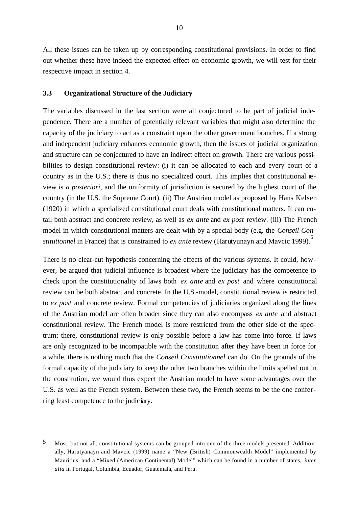All these issues can be taken up by corresponding constitutional provisions. In order to find out whether these have indeed the expected effect on economic growth, we will test for their respective impact in section 4.

#### **3.3 Organizational Structure of the Judiciary**

The variables discussed in the last section were all conjectured to be part of judicial independence. There are a number of potentially relevant variables that might also determine the capacity of the judiciary to act as a constraint upon the other government branches. If a strong and independent judiciary enhances economic growth, then the issues of judicial organization and structure can be conjectured to have an indirect effect on growth. There are various possibilities to design constitutional review: (i) it can be allocated to each and every court of a country as in the U.S.; there is thus no specialized court. This implies that constitutional review is *a posteriori*, and the uniformity of jurisdiction is secured by the highest court of the country (in the U.S. the Supreme Court). (ii) The Austrian model as proposed by Hans Kelsen (1920) in which a specialized constitutional court deals with constitutional matters. It can entail both abstract and concrete review, as well as *ex ante* and *ex post* review. (iii) The French model in which constitutional matters are dealt with by a special body (e.g. the *Conseil Constitutionnel* in France) that is constrained to *ex ante* review (Harutyunayn and Mavcic 1999).<sup>5</sup>

There is no clear-cut hypothesis concerning the effects of the various systems. It could, however, be argued that judicial influence is broadest where the judiciary has the competence to check upon the constitutionality of laws both *ex ante* and *ex post* and where constitutional review can be both abstract and concrete. In the U.S.-model, constitutional review is restricted to *ex post* and concrete review. Formal competencies of judiciaries organized along the lines of the Austrian model are often broader since they can also encompass *ex ante* and abstract constitutional review. The French model is more restricted from the other side of the spectrum: there, constitutional review is only possible before a law has come into force. If laws are only recognized to be incompatible with the constitution after they have been in force for a while, there is nothing much that the *Conseil Constitutionnel* can do. On the grounds of the formal capacity of the judiciary to keep the other two branches within the limits spelled out in the constitution, we would thus expect the Austrian model to have some advantages over the U.S. as well as the French system. Between these two, the French seems to be the one conferring least competence to the judiciary.

<sup>5</sup> Most, but not all, constitutional systems can be grouped into one of the three models presented. Additionally, Harutyanayn and Mavcic (1999) name a "New (British) Commonwealth Model" implemented by Mauritius, and a "Mixed (American Continental) Model" which can be found in a number of states, *inter alia* in Portugal, Columbia, Ecuador, Guatemala, and Peru.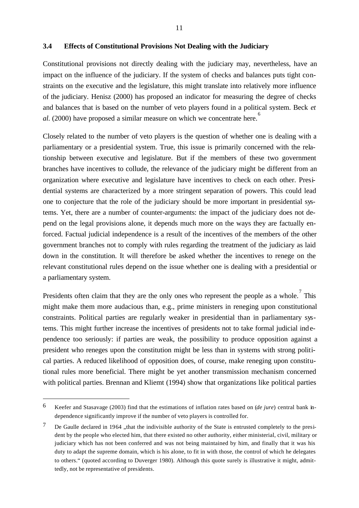#### **3.4 Effects of Constitutional Provisions Not Dealing with the Judiciary**

Constitutional provisions not directly dealing with the judiciary may, nevertheless, have an impact on the influence of the judiciary. If the system of checks and balances puts tight constraints on the executive and the legislature, this might translate into relatively more influence of the judiciary. Henisz (2000) has proposed an indicator for measuring the degree of checks and balances that is based on the number of veto players found in a political system. Beck *et al*. (2000) have proposed a similar measure on which we concentrate here. 6

Closely related to the number of veto players is the question of whether one is dealing with a parliamentary or a presidential system. True, this issue is primarily concerned with the relationship between executive and legislature. But if the members of these two government branches have incentives to collude, the relevance of the judiciary might be different from an organization where executive and legislature have incentives to check on each other. Presidential systems are characterized by a more stringent separation of powers. This could lead one to conjecture that the role of the judiciary should be more important in presidential systems. Yet, there are a number of counter-arguments: the impact of the judiciary does not depend on the legal provisions alone, it depends much more on the ways they are factually enforced. Factual judicial independence is a result of the incentives of the members of the other government branches not to comply with rules regarding the treatment of the judiciary as laid down in the constitution. It will therefore be asked whether the incentives to renege on the relevant constitutional rules depend on the issue whether one is dealing with a presidential or a parliamentary system.

Presidents often claim that they are the only ones who represent the people as a whole.<sup>7</sup> This might make them more audacious than, e.g., prime ministers in reneging upon constitutional constraints. Political parties are regularly weaker in presidential than in parliamentary systems. This might further increase the incentives of presidents not to take formal judicial independence too seriously: if parties are weak, the possibility to produce opposition against a president who reneges upon the constitution might be less than in systems with strong political parties. A reduced likelihood of opposition does, of course, make reneging upon constitutional rules more beneficial. There might be yet another transmission mechanism concerned with political parties. Brennan and Kliemt (1994) show that organizations like political parties

<sup>6</sup> Keefer and Stasavage (2003) find that the estimations of inflation rates based on (*de jure*) central bank independence significantly improve if the number of veto players is controlled for.

<sup>&</sup>lt;sup>7</sup> De Gaulle declared in 1964 , that the indivisible authority of the State is entrusted completely to the president by the people who elected him, that there existed no other authority, either ministerial, civil, military or judiciary which has not been conferred and was not being maintained by him, and finally that it was his duty to adapt the supreme domain, which is his alone, to fit in with those, the control of which he delegates to others." (quoted according to Duverger 1980). Although this quote surely is illustrative it might, admittedly, not be representative of presidents.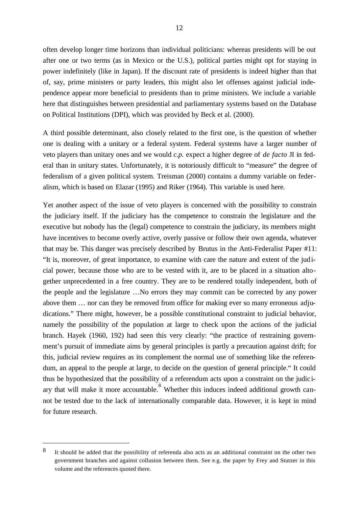often develop longer time horizons than individual politicians: whereas presidents will be out after one or two terms (as in Mexico or the U.S.), political parties might opt for staying in power indefinitely (like in Japan). If the discount rate of presidents is indeed higher than that of, say, prime ministers or party leaders, this might also let offenses against judicial independence appear more beneficial to presidents than to prime ministers. We include a variable here that distinguishes between presidential and parliamentary systems based on the Database on Political Institutions (DPI), which was provided by Beck et al. (2000).

A third possible determinant, also closely related to the first one, is the question of whether one is dealing with a unitary or a federal system. Federal systems have a larger number of veto players than unitary ones and we would *c.p.* expect a higher degree of *de facto* JI in federal than in unitary states. Unfortunately, it is notoriously difficult to "measure" the degree of federalism of a given political system. Treisman (2000) contains a dummy variable on federalism, which is based on Elazar (1995) and Riker (1964). This variable is used here.

Yet another aspect of the issue of veto players is concerned with the possibility to constrain the judiciary itself. If the judiciary has the competence to constrain the legislature and the executive but nobody has the (legal) competence to constrain the judiciary, its members might have incentives to become overly active, overly passive or follow their own agenda, whatever that may be. This danger was precisely described by Brutus in the Anti-Federalist Paper #11: "It is, moreover, of great importance, to examine with care the nature and extent of the judicial power, because those who are to be vested with it, are to be placed in a situation altogether unprecedented in a free country. They are to be rendered totally independent, both of the people and the legislature …No errors they may commit can be corrected by any power above them … nor can they be removed from office for making ever so many erroneous adjudications." There might, however, be a possible constitutional constraint to judicial behavior, namely the possibility of the population at large to check upon the actions of the judicial branch. Hayek (1960, 192) had seen this very clearly: "the practice of restraining government's pursuit of immediate aims by general principles is partly a precaution against drift; for this, judicial review requires as its complement the normal use of something like the referendum, an appeal to the people at large, to decide on the question of general principle." It could thus be hypothesized that the possibility of a referendum acts upon a constraint on the judic iary that will make it more accountable.  $8$  Whether this induces indeed additional growth cannot be tested due to the lack of internationally comparable data. However, it is kept in mind for future research.

<sup>8</sup> It should be added that the possibility of referenda also acts as an additional constraint on the other two government branches and against collusion between them. See e.g. the paper by Frey and Stutzer in this volume and the references quoted there.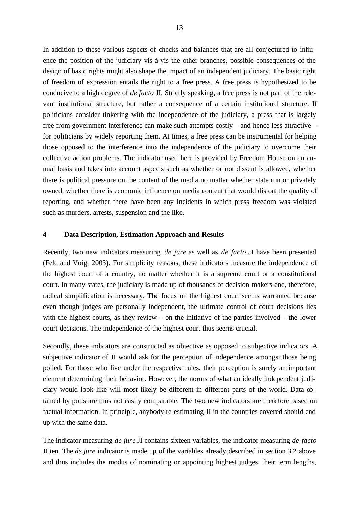In addition to these various aspects of checks and balances that are all conjectured to influence the position of the judiciary vis-à-vis the other branches, possible consequences of the design of basic rights might also shape the impact of an independent judiciary. The basic right of freedom of expression entails the right to a free press. A free press is hypothesized to be conducive to a high degree of *de facto* JI. Strictly speaking, a free press is not part of the relevant institutional structure, but rather a consequence of a certain institutional structure. If politicians consider tinkering with the independence of the judiciary, a press that is largely free from government interference can make such attempts costly – and hence less attractive – for politicians by widely reporting them. At times, a free press can be instrumental for helping those opposed to the interference into the independence of the judiciary to overcome their collective action problems. The indicator used here is provided by Freedom House on an annual basis and takes into account aspects such as whether or not dissent is allowed, whether there is political pressure on the content of the media no matter whether state run or privately owned, whether there is economic influence on media content that would distort the quality of reporting, and whether there have been any incidents in which press freedom was violated such as murders, arrests, suspension and the like.

#### **4 Data Description, Estimation Approach and Results**

Recently, two new indicators measuring *de jure* as well as *de facto* JI have been presented (Feld and Voigt 2003). For simplicity reasons, these indicators measure the independence of the highest court of a country, no matter whether it is a supreme court or a constitutional court. In many states, the judiciary is made up of thousands of decision-makers and, therefore, radical simplification is necessary. The focus on the highest court seems warranted because even though judges are personally independent, the ultimate control of court decisions lies with the highest courts, as they review – on the initiative of the parties involved – the lower court decisions. The independence of the highest court thus seems crucial.

Secondly, these indicators are constructed as objective as opposed to subjective indicators. A subjective indicator of JI would ask for the perception of independence amongst those being polled. For those who live under the respective rules, their perception is surely an important element determining their behavior. However, the norms of what an ideally independent judiciary would look like will most likely be different in different parts of the world. Data obtained by polls are thus not easily comparable. The two new indicators are therefore based on factual information. In principle, anybody re-estimating JI in the countries covered should end up with the same data.

The indicator measuring *de jure* JI contains sixteen variables, the indicator measuring *de facto* JI ten. The *de jure* indicator is made up of the variables already described in section 3.2 above and thus includes the modus of nominating or appointing highest judges, their term lengths,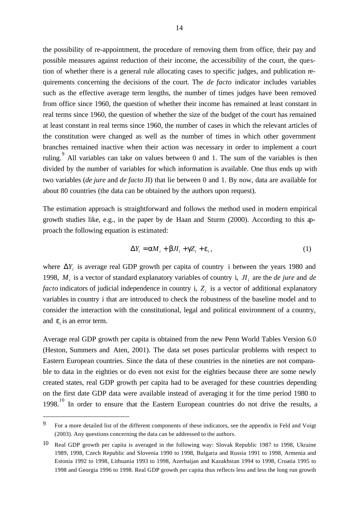the possibility of re-appointment, the procedure of removing them from office, their pay and possible measures against reduction of their income, the accessibility of the court, the question of whether there is a general rule allocating cases to specific judges, and publication requirements concerning the decisions of the court. The *de facto* indicator includes variables such as the effective average term lengths, the number of times judges have been removed from office since 1960, the question of whether their income has remained at least constant in real terms since 1960, the question of whether the size of the budget of the court has remained at least constant in real terms since 1960, the number of cases in which the relevant articles of the constitution were changed as well as the number of times in which other government branches remained inactive when their action was necessary in order to implement a court ruling.  $\degree$  All variables can take on values between 0 and 1. The sum of the variables is then divided by the number of variables for which information is available. One thus ends up with two variables (*de jure* and *de facto* JI) that lie between 0 and 1. By now, data are available for about 80 countries (the data can be obtained by the authors upon request).

The estimation approach is straightforward and follows the method used in modern empirical growth studies like, e.g., in the paper by de Haan and Sturm (2000). According to this approach the following equation is estimated:

$$
\Delta Y_i = aM_i + bJI_i + gZ_i + e_i, \qquad (1)
$$

where  $\Delta Y_i$  is average real GDP growth per capita of country i between the years 1980 and 1998,  $M_i$  is a vector of standard explanatory variables of country i,  $J_i$  are the *de jure* and *de facto* indicators of judicial independence in country i, *Z<sup>i</sup>* is a vector of additional explanatory variables in country i that are introduced to check the robustness of the baseline model and to consider the interaction with the constitutional, legal and political environment of a country, and  $e_i$  is an error term.

Average real GDP growth per capita is obtained from the new Penn World Tables Version 6.0 (Heston, Summers and Aten, 2001). The data set poses particular problems with respect to Eastern European countries. Since the data of these countries in the nineties are not comparable to data in the eighties or do even not exist for the eighties because there are some newly created states, real GDP growth per capita had to be averaged for these countries depending on the first date GDP data were available instead of averaging it for the time period 1980 to  $1998<sup>10</sup>$  In order to ensure that the Eastern European countries do not drive the results, a

<sup>&</sup>lt;sup>9</sup> For a more detailed list of the different components of these indicators, see the appendix in Feld and Voigt (2003). Any questions concerning the data can be addressed to the authors.

 $10$  Real GDP growth per capita is averaged in the following way: Slovak Republic 1987 to 1998, Ukraine 1989, 1998, Czech Republic and Slovenia 1990 to 1998, Bulgaria and Russia 1991 to 1998, Armenia and Estonia 1992 to 1998, Lithuania 1993 to 1998, Azerbaijan and Kazakhstan 1994 to 1998, Croatia 1995 to 1998 and Georgia 1996 to 1998. Real GDP growth per capita thus reflects less and less the long run growth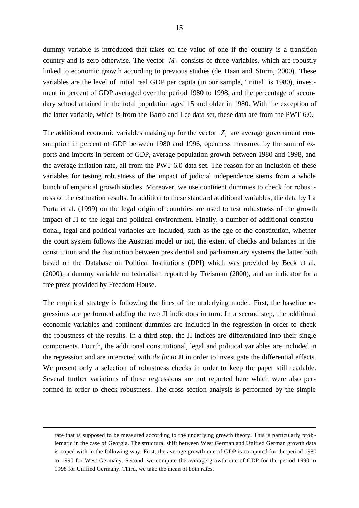dummy variable is introduced that takes on the value of one if the country is a transition country and is zero otherwise. The vector  $M_i$  consists of three variables, which are robustly linked to economic growth according to previous studies (de Haan and Sturm, 2000). These variables are the level of initial real GDP per capita (in our sample, 'initial' is 1980), investment in percent of GDP averaged over the period 1980 to 1998, and the percentage of secondary school attained in the total population aged 15 and older in 1980. With the exception of the latter variable, which is from the Barro and Lee data set, these data are from the PWT 6.0.

The additional economic variables making up for the vector  $Z_i$  are average government consumption in percent of GDP between 1980 and 1996, openness measured by the sum of exports and imports in percent of GDP, average population growth between 1980 and 1998, and the average inflation rate, all from the PWT 6.0 data set. The reason for an inclusion of these variables for testing robustness of the impact of judicial independence stems from a whole bunch of empirical growth studies. Moreover, we use continent dummies to check for robustness of the estimation results. In addition to these standard additional variables, the data by La Porta et al. (1999) on the legal origin of countries are used to test robustness of the growth impact of JI to the legal and political environment. Finally, a number of additional constitutional, legal and political variables are included, such as the age of the constitution, whether the court system follows the Austrian model or not, the extent of checks and balances in the constitution and the distinction between presidential and parliamentary systems the latter both based on the Database on Political Institutions (DPI) which was provided by Beck et al. (2000), a dummy variable on federalism reported by Treisman (2000), and an indicator for a free press provided by Freedom House.

The empirical strategy is following the lines of the underlying model. First, the baseline **re**gressions are performed adding the two JI indicators in turn. In a second step, the additional economic variables and continent dummies are included in the regression in order to check the robustness of the results. In a third step, the JI indices are differentiated into their single components. Fourth, the additional constitutional, legal and political variables are included in the regression and are interacted with *de facto* JI in order to investigate the differential effects. We present only a selection of robustness checks in order to keep the paper still readable. Several further variations of these regressions are not reported here which were also performed in order to check robustness. The cross section analysis is performed by the simple

rate that is supposed to be measured according to the underlying growth theory. This is particularly problematic in the case of Georgia. The structural shift between West German and Unified German growth data is coped with in the following way: First, the average growth rate of GDP is computed for the period 1980 to 1990 for West Germany. Second, we compute the average growth rate of GDP for the period 1990 to 1998 for Unified Germany. Third, we take the mean of both rates.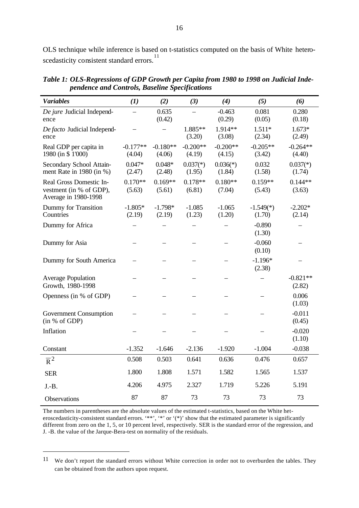OLS technique while inference is based on t-statistics computed on the basis of White heteroscedasticity consistent standard errors.<sup>11</sup>

| <b>Variables</b>                                                           | (1)                  | (2)                  | (3)                  | (4)                  | (5)                   | (6)                  |
|----------------------------------------------------------------------------|----------------------|----------------------|----------------------|----------------------|-----------------------|----------------------|
| De jure Judicial Independ-<br>ence                                         |                      | 0.635<br>(0.42)      |                      | $-0.463$<br>(0.29)   | 0.081<br>(0.05)       | 0.280<br>(0.18)      |
| De facto Judicial Independ-<br>ence                                        |                      |                      | 1.885**<br>(3.20)    | 1.914**<br>(3.08)    | $1.511*$<br>(2.34)    | $1.673*$<br>(2.49)   |
| Real GDP per capita in<br>1980 (in \$1'000)                                | $-0.177**$<br>(4.04) | $-0.180**$<br>(4.06) | $-0.200**$<br>(4.19) | $-0.200**$<br>(4.15) | $-0.205**$<br>(3.42)  | $-0.264**$<br>(4.40) |
| Secondary School Attain-<br>ment Rate in 1980 (in %)                       | $0.047*$<br>(2.47)   | $0.048*$<br>(2.48)   | $0.037(*)$<br>(1.95) | $0.036(*)$<br>(1.84) | 0.032<br>(1.58)       | $0.037(*)$<br>(1.74) |
| Real Gross Domestic In-<br>vestment (in % of GDP),<br>Average in 1980-1998 | $0.170**$<br>(5.63)  | $0.169**$<br>(5.61)  | $0.178**$<br>(6.81)  | $0.180**$<br>(7.04)  | $0.159**$<br>(5.43)   | $0.144**$<br>(3.63)  |
| Dummy for Transition<br>Countries                                          | $-1.805*$<br>(2.19)  | $-1.798*$<br>(2.19)  | $-1.085$<br>(1.23)   | $-1.065$<br>(1.20)   | $-1.549(*)$<br>(1.70) | $-2.202*$<br>(2.14)  |
| Dummy for Africa                                                           |                      |                      |                      |                      | $-0.890$<br>(1.30)    |                      |
| Dummy for Asia                                                             |                      |                      |                      |                      | $-0.060$<br>(0.10)    |                      |
| Dummy for South America                                                    |                      |                      |                      |                      | $-1.196*$<br>(2.38)   |                      |
| <b>Average Population</b><br>Growth, 1980-1998                             |                      |                      |                      |                      |                       | $-0.821**$<br>(2.82) |
| Openness (in % of GDP)                                                     |                      |                      |                      |                      |                       | 0.006<br>(1.03)      |
| <b>Government Consumption</b><br>(in % of GDP)                             |                      |                      |                      |                      |                       | $-0.011$<br>(0.45)   |
| Inflation                                                                  |                      |                      |                      |                      |                       | $-0.020$<br>(1.10)   |
| Constant                                                                   | $-1.352$             | $-1.646$             | $-2.136$             | $-1.920$             | $-1.004$              | $-0.038$             |
| $\overline{R}^2$                                                           | 0.508                | 0.503                | 0.641                | 0.636                | 0.476                 | 0.657                |
| <b>SER</b>                                                                 | 1.800                | 1.808                | 1.571                | 1.582                | 1.565                 | 1.537                |
| $J.-B.$                                                                    | 4.206                | 4.975                | 2.327                | 1.719                | 5.226                 | 5.191                |
| Observations                                                               | 87                   | 87                   | 73                   | 73                   | 73                    | 73                   |

*Table 1: OLS-Regressions of GDP Growth per Capita from 1980 to 1998 on Judicial Independence and Controls, Baseline Specifications*

The numbers in parentheses are the absolute values of the estimated t-statistics, based on the White heteroscedasticity-consistent standard errors. '\*\*', '\*' or '(\*)' show that the estimated parameter is significantly different from zero on the 1, 5, or 10 percent level, respectively. SER is the standard error of the regression, and J. -B. the value of the Jarque-Bera-test on normality of the residuals.

 $\overline{a}$ 

<sup>11</sup> We don't report the standard errors without White correction in order not to overburden the tables. They can be obtained from the authors upon request.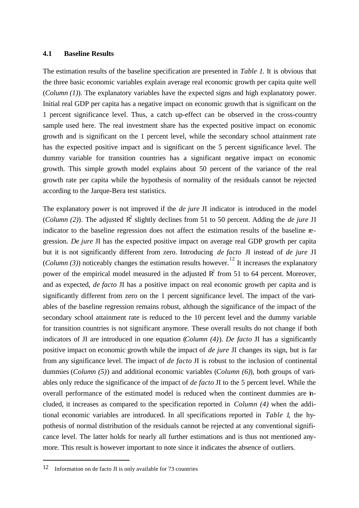#### **4.1 Baseline Results**

The estimation results of the baseline specification are presented in *Table 1*. It is obvious that the three basic economic variables explain average real economic growth per capita quite well (*Column (1)*). The explanatory variables have the expected signs and high explanatory power. Initial real GDP per capita has a negative impact on economic growth that is significant on the 1 percent significance level. Thus, a catch up-effect can be observed in the cross-country sample used here. The real investment share has the expected positive impact on economic growth and is significant on the 1 percent level, while the secondary school attainment rate has the expected positive impact and is significant on the 5 percent significance level. The dummy variable for transition countries has a significant negative impact on economic growth. This simple growth model explains about 50 percent of the variance of the real growth rate per capita while the hypothesis of normality of the residuals cannot be rejected according to the Jarque-Bera test statistics.

The explanatory power is not improved if the *de jure* JI indicator is introduced in the model (*Column (2)*). The adjusted  $\mathbb{R}^2$  slightly declines from 51 to 50 percent. Adding the *de jure* JI indicator to the baseline regression does not affect the estimation results of the baseline regression. *De jure* JI has the expected positive impact on average real GDP growth per capita but it is not significantly different from zero. Introducing *de facto* JI instead of *de jure* JI (*Column (3)*) noticeably changes the estimation results however.<sup>12</sup> It increases the explanatory power of the empirical model measured in the adjusted  $\mathbb{R}^2$  from 51 to 64 percent. Moreover, and as expected, *de facto* JI has a positive impact on real economic growth per capita and is significantly different from zero on the 1 percent significance level. The impact of the variables of the baseline regression remains robust, although the significance of the impact of the secondary school attainment rate is reduced to the 10 percent level and the dummy variable for transition countries is not significant anymore. These overall results do not change if both indicators of JI are introduced in one equation (*Column (4)*). *De facto* JI has a significantly positive impact on economic growth while the impact of *de jure* JI changes its sign, but is far from any significance level. The impact of *de facto* JI is robust to the inclusion of continental dummies (*Column (5)*) and additional economic variables (*Column (6)*), both groups of variables only reduce the significance of the impact of *de facto* JI to the 5 percent level. While the overall performance of the estimated model is reduced when the continent dummies are included, it increases as compared to the specification reported in *Column (4)* when the additional economic variables are introduced. In all specifications reported in *Table 1*, the hypothesis of normal distribution of the residuals cannot be rejected at any conventional significance level. The latter holds for nearly all further estimations and is thus not mentioned anymore. This result is however important to note since it indicates the absence of outliers.

<sup>12</sup> Information on de facto JI is only available for 73 countries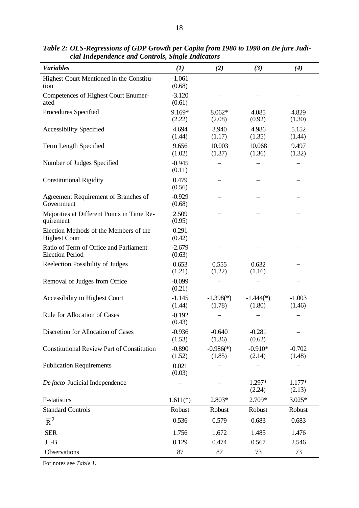| <b>Variables</b>                                                 | (1)                          | (2)                   | (3)                   | (4)                |
|------------------------------------------------------------------|------------------------------|-----------------------|-----------------------|--------------------|
| Highest Court Mentioned in the Constitu-                         | $-1.061$                     |                       |                       |                    |
| tion<br>Competences of Highest Court Enumer-<br>ated             | (0.68)<br>$-3.120$<br>(0.61) |                       |                       |                    |
| Procedures Specified                                             | 9.169*<br>(2.22)             | $8.062*$<br>(2.08)    | 4.085<br>(0.92)       | 4.829<br>(1.30)    |
| <b>Accessibility Specified</b>                                   | 4.694<br>(1.44)              | 3.940<br>(1.17)       | 4.986<br>(1.35)       | 5.152<br>(1.44)    |
| Term Length Specified                                            | 9.656<br>(1.02)              | 10.003<br>(1.37)      | 10.068<br>(1.36)      | 9.497<br>(1.32)    |
| Number of Judges Specified                                       | $-0.945$<br>(0.11)           |                       |                       |                    |
| <b>Constitutional Rigidity</b>                                   | 0.479<br>(0.56)              |                       |                       |                    |
| Agreement Requirement of Branches of<br>Government               | $-0.929$<br>(0.68)           |                       |                       |                    |
| Majorities at Different Points in Time Re-<br>quirement          | 2.509<br>(0.95)              |                       |                       |                    |
| Election Methods of the Members of the<br><b>Highest Court</b>   | 0.291<br>(0.42)              |                       |                       |                    |
| Ratio of Term of Office and Parliament<br><b>Election Period</b> | $-2.679$<br>(0.63)           |                       |                       |                    |
| Reelection Possibility of Judges                                 | 0.653<br>(1.21)              | 0.555<br>(1.22)       | 0.632<br>(1.16)       |                    |
| Removal of Judges from Office                                    | $-0.099$<br>(0.21)           |                       |                       |                    |
| Accessibility to Highest Court                                   | $-1.145$<br>(1.44)           | $-1.398(*)$<br>(1.78) | $-1.444(*)$<br>(1.80) | $-1.003$<br>(1.46) |
| <b>Rule for Allocation of Cases</b>                              | $-0.192$<br>(0.43)           |                       |                       |                    |
| Discretion for Allocation of Cases                               | $-0.936$<br>(1.53)           | $-0.640$<br>(1.36)    | $-0.281$<br>(0.62)    |                    |
| <b>Constitutional Review Part of Constitution</b>                | $-0.890$<br>(1.52)           | $-0.986(*)$<br>(1.85) | $-0.910*$<br>(2.14)   | $-0.702$<br>(1.48) |
| <b>Publication Requirements</b>                                  | 0.021<br>(0.03)              |                       |                       |                    |
| De facto Judicial Independence                                   |                              |                       | 1.297*<br>(2.24)      | 1.177*<br>(2.13)   |
| F-statistics                                                     | $1.611(*)$                   | 2.803*                | 2.709*                | $3.025*$           |
| <b>Standard Controls</b>                                         | Robust                       | Robust                | Robust                | Robust             |
| $\overline{R}^2$                                                 | 0.536                        | 0.579                 | 0.683                 | 0.683              |
| <b>SER</b>                                                       | 1.756                        | 1.672                 | 1.485                 | 1.476              |
| J. -B.                                                           | 0.129                        | 0.474                 | 0.567                 | 2.546              |
| Observations                                                     | 87                           | 87                    | 73                    | 73                 |

*Table 2: OLS-Regressions of GDP Growth per Capita from 1980 to 1998 on De jure Judicial Independence and Controls, Single Indicators*

For notes see *Table 1.*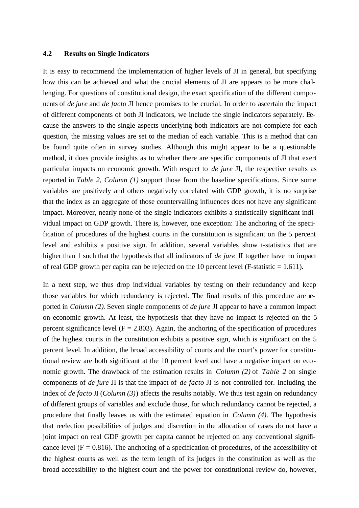#### **4.2 Results on Single Indicators**

It is easy to recommend the implementation of higher levels of JI in general, but specifying how this can be achieved and what the crucial elements of JI are appears to be more cha llenging. For questions of constitutional design, the exact specification of the different components of *de jure* and *de facto* JI hence promises to be crucial. In order to ascertain the impact of different components of both JI indicators, we include the single indicators separately. Because the answers to the single aspects underlying both indicators are not complete for each question, the missing values are set to the median of each variable. This is a method that can be found quite often in survey studies. Although this might appear to be a questionable method, it does provide insights as to whether there are specific components of JI that exert particular impacts on economic growth. With respect to *de jure* JI, the respective results as reported in *Table 2, Column (1)* support those from the baseline specifications. Since some variables are positively and others negatively correlated with GDP growth, it is no surprise that the index as an aggregate of those countervailing influences does not have any significant impact. Moreover, nearly none of the single indicators exhibits a statistically significant individual impact on GDP growth. There is, however, one exception: The anchoring of the specification of procedures of the highest courts in the constitution is significant on the 5 percent level and exhibits a positive sign. In addition, several variables show t-statistics that are higher than 1 such that the hypothesis that all indicators of *de jure* JI together have no impact of real GDP growth per capita can be rejected on the 10 percent level (F-statistic  $= 1.611$ ).

In a next step, we thus drop individual variables by testing on their redundancy and keep those variables for which redundancy is rejected. The final results of this procedure are reported in *Column (2)*. Seven single components of *de jure* JI appear to have a common impact on economic growth. At least, the hypothesis that they have no impact is rejected on the 5 percent significance level ( $F = 2.803$ ). Again, the anchoring of the specification of procedures of the highest courts in the constitution exhibits a positive sign, which is significant on the 5 percent level. In addition, the broad accessibility of courts and the court's power for constitutional review are both significant at the 10 percent level and have a negative impact on economic growth. The drawback of the estimation results in *Column (2)* of *Table 2* on single components of *de jure* JI is that the impact of *de facto* JI is not controlled for. Including the index of *de facto* JI (*Column (3)*) affects the results notably. We thus test again on redundancy of different groups of variables and exclude those, for which redundancy cannot be rejected, a procedure that finally leaves us with the estimated equation in *Column (4)*. The hypothesis that reelection possibilities of judges and discretion in the allocation of cases do not have a joint impact on real GDP growth per capita cannot be rejected on any conventional significance level ( $F = 0.816$ ). The anchoring of a specification of procedures, of the accessibility of the highest courts as well as the term length of its judges in the constitution as well as the broad accessibility to the highest court and the power for constitutional review do, however,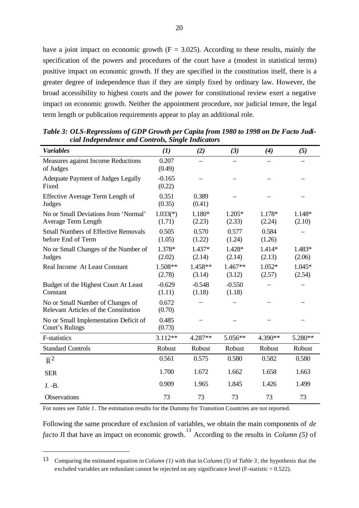have a joint impact on economic growth  $(F = 3.025)$ . According to these results, mainly the specification of the powers and procedures of the court have a (modest in statistical terms) positive impact on economic growth. If they are specified in the constitution itself, there is a greater degree of independence than if they are simply fixed by ordinary law. However, the broad accessibility to highest courts and the power for constitutional review exert a negative impact on economic growth. Neither the appointment procedure, nor judicial tenure, the legal term length or publication requirements appear to play an additional role.

| <b>Variables</b>                                                          | (1)                  | (2)                | (3)                | (4)                | (5)              |
|---------------------------------------------------------------------------|----------------------|--------------------|--------------------|--------------------|------------------|
| Measures against Income Reductions<br>of Judges                           | 0.207<br>(0.49)      |                    |                    |                    |                  |
| Adequate Payment of Judges Legally<br>Fixed                               | $-0.165$<br>(0.22)   |                    |                    |                    |                  |
| Effective Average Term Length of<br>Judges                                | 0.351<br>(0.35)      | 0.389<br>(0.41)    |                    |                    |                  |
| No or Small Deviations from 'Normal'<br>Average Term Length               | $1.033(*)$<br>(1.71) | 1.180*<br>(2.23)   | $1.205*$<br>(2.33) | 1.178*<br>(2.24)   | 1.148*<br>(2.10) |
| <b>Small Numbers of Effective Removals</b><br>before End of Term          | 0.505<br>(1.05)      | 0.570<br>(1.22)    | 0.577<br>(1.24)    | 0.584<br>(1.26)    |                  |
| No or Small Changes of the Number of<br>Judges                            | 1.378*<br>(2.02)     | $1.437*$<br>(2.14) | 1.428*<br>(2.14)   | 1.414*<br>(2.13)   | 1.483*<br>(2.06) |
| Real Income At Least Constant                                             | 1.508**<br>(2.78)    | 1.458**<br>(3.14)  | 1.467**<br>(3.12)  | $1.052*$<br>(2.57) | 1.045*<br>(2.54) |
| Budget of the Highest Court At Least<br>Constant                          | $-0.629$<br>(1.11)   | $-0.548$<br>(1.18) | $-0.550$<br>(1.18) |                    |                  |
| No or Small Number of Changes of<br>Relevant Articles of the Constitution | 0.672<br>(0.70)      |                    |                    |                    |                  |
| No or Small Implementation Deficit of<br>Court's Rulings                  | 0.485<br>(0.73)      |                    |                    |                    |                  |
| <b>F-statistics</b>                                                       | $3.112**$            | 4.287**            | 5.056**            | 4.390**            | 5.280**          |
| <b>Standard Controls</b>                                                  | Robust               | Robust             | Robust             | Robust             | Robust           |
| $\overline{R}^2$                                                          | 0.561                | 0.575              | 0.580              | 0.582              | 0.580            |
| <b>SER</b>                                                                | 1.700                | 1.672              | 1.662              | 1.658              | 1.663            |
| J. -B.                                                                    | 0.909                | 1.965              | 1.845              | 1.426              | 1.499            |
| Observations                                                              | 73                   | 73                 | 73                 | 73                 | 73               |

*Table 3: OLS-Regressions of GDP Growth per Capita from 1980 to 1998 on De Facto Judicial Independence and Controls, Single Indicators*

For notes see *Table 1*. The estimation results for the Dummy for Transition Countries are not reported.

 $\overline{a}$ 

Following the same procedure of exclusion of variables, we obtain the main components of *de facto* JI that have an impact on economic growth. 13 According to the results in *Column (5)* of

<sup>13</sup> Comparing the estimated equation in *Column (1)* with that in *Column (5)* of *Table 3*, the hypothesis that the excluded variables are redundant cannot be rejected on any significance level (F-statistic = 0.522).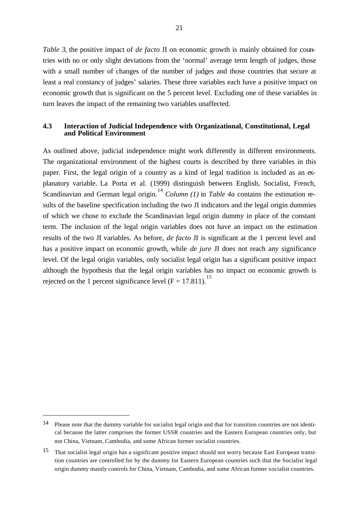*Table 3*, the positive impact of *de facto* JI on economic growth is mainly obtained for countries with no or only slight deviations from the 'normal' average term length of judges, those with a small number of changes of the number of judges and those countries that secure at least a real constancy of judges' salaries. These three variables each have a positive impact on economic growth that is significant on the 5 percent level. Excluding one of these variables in turn leaves the impact of the remaining two variables unaffected.

#### **4.3 Interaction of Judicial Independence with Organizational, Constitutional, Legal and Political Environment**

As outlined above, judicial independence might work differently in different environments. The organizational environment of the highest courts is described by three variables in this paper. First, the legal origin of a country as a kind of legal tradition is included as an explanatory variable. La Porta et al. (1999) distinguish between English, Socialist, French, Scandinavian and German legal origin.<sup>14</sup> *Column (1)* in *Table 4a* contains the estimation results of the baseline specification including the two JI indicators and the legal origin dummies of which we chose to exclude the Scandinavian legal origin dummy in place of the constant term. The inclusion of the legal origin variables does not have an impact on the estimation results of the two JI variables. As before, *de facto* JI is significant at the 1 percent level and has a positive impact on economic growth, while *de jure* JI does not reach any significance level. Of the legal origin variables, only socialist legal origin has a significant positive impact although the hypothesis that the legal origin variables has no impact on economic growth is rejected on the 1 percent significance level  $(F = 17.811)$ .<sup>15</sup>

<sup>14</sup> Please note that the dummy variable for socialist legal origin and that for transition countries are not identical because the latter comprises the former USSR countries and the Eastern European countries only, but not China, Vietnam, Cambodia, and some African former socialist countries.

<sup>15</sup> That socialist legal origin has a significant positive impact should not worry because East European transition countries are controlled for by the dummy for Eastern European countries such that the Socialist legal origin dummy mainly controls for China, Vietnam, Cambodia, and some African former socialist countries.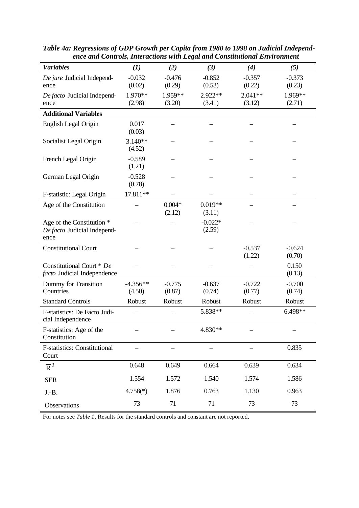| <b>Variables</b>                                                 | (1)                  | (2)                | (3)                 | (4)                 | (5)                |
|------------------------------------------------------------------|----------------------|--------------------|---------------------|---------------------|--------------------|
| De jure Judicial Independ-<br>ence                               | $-0.032$<br>(0.02)   | $-0.476$<br>(0.29) | $-0.852$<br>(0.53)  | $-0.357$<br>(0.22)  | $-0.373$<br>(0.23) |
| De facto Judicial Independ-<br>ence                              | 1.970**<br>(2.98)    | 1.959**<br>(3.20)  | $2.922**$<br>(3.41) | $2.041**$<br>(3.12) | 1.969**<br>(2.71)  |
| <b>Additional Variables</b>                                      |                      |                    |                     |                     |                    |
| English Legal Origin                                             | 0.017<br>(0.03)      |                    |                     |                     |                    |
| Socialist Legal Origin                                           | $3.140**$<br>(4.52)  |                    |                     |                     |                    |
| French Legal Origin                                              | $-0.589$<br>(1.21)   |                    |                     |                     |                    |
| German Legal Origin                                              | $-0.528$<br>(0.78)   |                    |                     |                     |                    |
| F-statistic: Legal Origin                                        | 17.811**             |                    |                     |                     |                    |
| Age of the Constitution                                          |                      | $0.004*$<br>(2.12) | $0.019**$<br>(3.11) |                     |                    |
| Age of the Constitution *<br>De facto Judicial Independ-<br>ence |                      |                    | $-0.022*$<br>(2.59) |                     |                    |
| <b>Constitutional Court</b>                                      |                      |                    |                     | $-0.537$<br>(1.22)  | $-0.624$<br>(0.70) |
| Constitutional Court * De<br>facto Judicial Independence         |                      |                    |                     |                     | 0.150<br>(0.13)    |
| Dummy for Transition<br>Countries                                | $-4.356**$<br>(4.50) | $-0.775$<br>(0.87) | $-0.637$<br>(0.74)  | $-0.722$<br>(0.77)  | $-0.700$<br>(0.74) |
| <b>Standard Controls</b>                                         | Robust               | Robust             | Robust              | Robust              | Robust             |
| F-statistics: De Facto Judi-<br>cial Independence                |                      |                    | 5.838**             |                     | 6.498**            |
| F-statistics: Age of the<br>Constitution                         |                      |                    | 4.830**             |                     |                    |
| <b>F-statistics: Constitutional</b><br>Court                     |                      |                    |                     |                     | 0.835              |
| $\overline{R}^2$                                                 | 0.648                | 0.649              | 0.664               | 0.639               | 0.634              |
| <b>SER</b>                                                       | 1.554                | 1.572              | 1.540               | 1.574               | 1.586              |
| $J.-B.$                                                          | $4.758(*)$           | 1.876              | 0.763               | 1.130               | 0.963              |
| Observations                                                     | 73                   | 71                 | 71                  | 73                  | 73                 |

*Table 4a: Regressions of GDP Growth per Capita from 1980 to 1998 on Judicial Independence and Controls, Interactions with Legal and Constitutional Environment*

For notes see *Table 1*. Results for the standard controls and constant are not reported.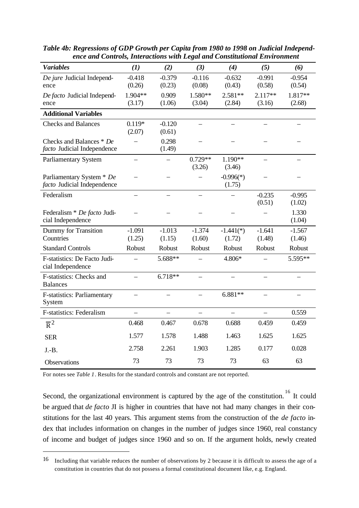| <b>Variables</b>                   | (1)            | (2)      | (3)            | (4)         | (5)       | (6)      |
|------------------------------------|----------------|----------|----------------|-------------|-----------|----------|
| De jure Judicial Independ-         | $-0.418$       | $-0.379$ | $-0.116$       | $-0.632$    | $-0.991$  | $-0.954$ |
| ence                               | (0.26)         | (0.23)   | (0.08)         | (0.43)      | (0.58)    | (0.54)   |
| De facto Judicial Independ-        | 1.904**        | 0.909    | 1.580**        | $2.581**$   | $2.117**$ | 1.817**  |
| ence                               | (3.17)         | (1.06)   | (3.04)         | (2.84)      | (3.16)    | (2.68)   |
| <b>Additional Variables</b>        |                |          |                |             |           |          |
| <b>Checks and Balances</b>         | $0.119*$       | $-0.120$ | $\equiv$       |             |           |          |
|                                    | (2.07)         | (0.61)   |                |             |           |          |
| Checks and Balances * De           |                | 0.298    |                |             |           |          |
| facto Judicial Independence        |                | (1.49)   |                |             |           |          |
| Parliamentary System               |                |          | $0.729**$      | 1.190**     |           |          |
|                                    |                |          | (3.26)         | (3.46)      |           |          |
| Parliamentary System * De          |                |          |                | $-0.996(*)$ |           |          |
| facto Judicial Independence        |                |          |                | (1.75)      |           |          |
| Federalism                         |                |          |                |             | $-0.235$  | $-0.995$ |
|                                    |                |          |                |             | (0.51)    | (1.02)   |
| Federalism * De facto Judi-        |                |          |                |             |           | 1.330    |
| cial Independence                  |                |          |                |             |           | (1.04)   |
| Dummy for Transition               | $-1.091$       | $-1.013$ | $-1.374$       | $-1.441(*)$ | $-1.641$  | $-1.567$ |
| Countries                          | (1.25)         | (1.15)   | (1.60)         | (1.72)      | (1.48)    | (1.46)   |
| <b>Standard Controls</b>           | Robust         | Robust   | Robust         | Robust      | Robust    | Robust   |
| F-statistics: De Facto Judi-       |                | 5.688**  |                | 4.806*      |           | 5.595**  |
| cial Independence                  |                |          |                |             |           |          |
| F-statistics: Checks and           | $\overline{a}$ | 6.718**  | $\overline{a}$ |             |           |          |
| <b>Balances</b>                    |                |          |                |             |           |          |
| <b>F-statistics: Parliamentary</b> |                |          |                | 6.881**     |           |          |
| System                             |                |          |                |             |           |          |
| <b>F-statistics: Federalism</b>    |                |          |                |             |           | 0.559    |
| $\overline{R}^2$                   | 0.468          | 0.467    | 0.678          | 0.688       | 0.459     | 0.459    |
| <b>SER</b>                         | 1.577          | 1.578    | 1.488          | 1.463       | 1.625     | 1.625    |
| $J.-B.$                            | 2.758          | 2.261    | 1.903          | 1.285       | 0.177     | 0.028    |
| Observations                       | 73             | 73       | 73             | 73          | 63        | 63       |

*Table 4b: Regressions of GDP Growth per Capita from 1980 to 1998 on Judicial Independence and Controls, Interactions with Legal and Constitutional Environment*

For notes see *Table 1*. Results for the standard controls and constant are not reported.

 $\overline{a}$ 

Second, the organizational environment is captured by the age of the constitution.<sup>16</sup> It could be argued that *de facto* JI is higher in countries that have not had many changes in their constitutions for the last 40 years. This argument stems from the construction of the *de facto* index that includes information on changes in the number of judges since 1960, real constancy of income and budget of judges since 1960 and so on. If the argument holds, newly created

<sup>16</sup> Including that variable reduces the number of observations by 2 because it is difficult to assess the age of a constitution in countries that do not possess a formal constitutional document like, e.g. England.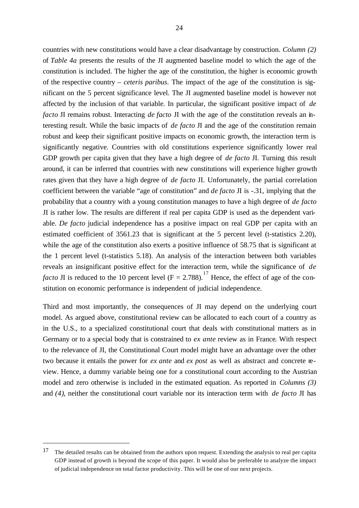countries with new constitutions would have a clear disadvantage by construction. *Column (2)* of *Table 4a* presents the results of the JI augmented baseline model to which the age of the constitution is included. The higher the age of the constitution, the higher is economic growth of the respective country – *ceteris paribus*. The impact of the age of the constitution is significant on the 5 percent significance level. The JI augmented baseline model is however not affected by the inclusion of that variable. In particular, the significant positive impact of *de facto* JI remains robust. Interacting *de facto* JI with the age of the constitution reveals an interesting result. While the basic impacts of *de facto* JI and the age of the constitution remain robust and keep their significant positive impacts on economic growth, the interaction term is significantly negative. Countries with old constitutions experience significantly lower real GDP growth per capita given that they have a high degree of *de facto* JI. Turning this result around, it can be inferred that countries with new constitutions will experience higher growth rates given that they have a high degree of *de facto* JI. Unfortunately, the partial correlation coefficient between the variable "age of constitution" and *de facto* JI is -.31, implying that the probability that a country with a young constitution manages to have a high degree of *de facto* JI is rather low. The results are different if real per capita GDP is used as the dependent variable. *De facto* judicial independence has a positive impact on real GDP per capita with an estimated coefficient of 3561.23 that is significant at the 5 percent level (t-statistics 2.20), while the age of the constitution also exerts a positive influence of 58.75 that is significant at the 1 percent level (t-statistics 5.18). An analysis of the interaction between both variables reveals an insignificant positive effect for the interaction term, while the significance of *de facto* JI is reduced to the 10 percent level ( $F = 2.788$ ).<sup>17</sup> Hence, the effect of age of the constitution on economic performance is independent of judicial independence.

Third and most importantly, the consequences of JI may depend on the underlying court model. As argued above, constitutional review can be allocated to each court of a country as in the U.S., to a specialized constitutional court that deals with constitutional matters as in Germany or to a special body that is constrained to *ex ante* review as in France. With respect to the relevance of JI, the Constitutional Court model might have an advantage over the other two because it entails the power for *ex ante* and *ex post* as well as abstract and concrete review. Hence, a dummy variable being one for a constitutional court according to the Austrian model and zero otherwise is included in the estimated equation. As reported in *Columns (3)* and *(4)*, neither the constitutional court variable nor its interaction term with *de facto* JI has

<sup>&</sup>lt;sup>17</sup> The detailed results can be obtained from the authors upon request. Extending the analysis to real per capita GDP instead of growth is beyond the scope of this paper. It would also be preferable to analyze the impact of judicial independence on total factor productivity. This will be one of our next projects.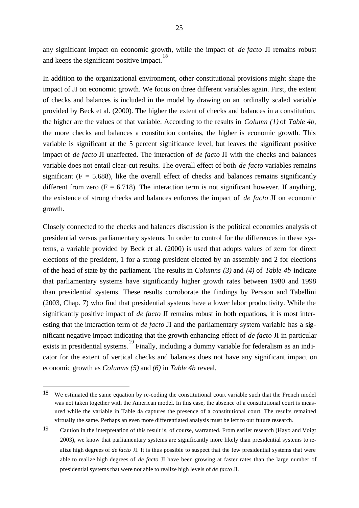any significant impact on economic growth, while the impact of *de facto* JI remains robust and keeps the significant positive impact.<sup>18</sup>

In addition to the organizational environment, other constitutional provisions might shape the impact of JI on economic growth. We focus on three different variables again. First, the extent of checks and balances is included in the model by drawing on an ordinally scaled variable provided by Beck et al. (2000). The higher the extent of checks and balances in a constitution, the higher are the values of that variable. According to the results in *Column (1)* of *Table 4b*, the more checks and balances a constitution contains, the higher is economic growth. This variable is significant at the 5 percent significance level, but leaves the significant positive impact of *de facto* JI unaffected. The interaction of *de facto* JI with the checks and balances variable does not entail clear-cut results. The overall effect of both *de facto* variables remains significant ( $F = 5.688$ ), like the overall effect of checks and balances remains significantly different from zero ( $F = 6.718$ ). The interaction term is not significant however. If anything, the existence of strong checks and balances enforces the impact of *de facto* JI on economic growth.

Closely connected to the checks and balances discussion is the political economics analysis of presidential versus parliamentary systems. In order to control for the differences in these systems, a variable provided by Beck et al. (2000) is used that adopts values of zero for direct elections of the president, 1 for a strong president elected by an assembly and 2 for elections of the head of state by the parliament. The results in *Columns (3)* and *(4)* of *Table 4b* indicate that parliamentary systems have significantly higher growth rates between 1980 and 1998 than presidential systems. These results corroborate the findings by Persson and Tabellini (2003, Chap. 7) who find that presidential systems have a lower labor productivity. While the significantly positive impact of *de facto* JI remains robust in both equations, it is most interesting that the interaction term of *de facto* JI and the parliamentary system variable has a significant negative impact indicating that the growth enhancing effect of *de facto* JI in particular exists in presidential systems.<sup>19</sup> Finally, including a dummy variable for federalism as an indicator for the extent of vertical checks and balances does not have any significant impact on economic growth as *Columns (5)* and *(6)* in *Table 4b* reveal.

<sup>18</sup> We estimated the same equation by re-coding the constitutional court variable such that the French model was not taken together with the American model. In this case, the absence of a constitutional court is measured while the variable in Table 4a captures the presence of a constitutional court. The results remained virtually the same. Perhaps an even more differentiated analysis must be left to our future research.

<sup>19</sup> Caution in the interpretation of this result is, of course, warranted. From earlier research (Hayo and Voigt 2003), we know that parliamentary systems are significantly more likely than presidential systems to realize high degrees of *de facto* JI. It is thus possible to suspect that the few presidential systems that were able to realize high degrees of *de facto* JI have been growing at faster rates than the large number of presidential systems that were not able to realize high levels of *de facto* JI.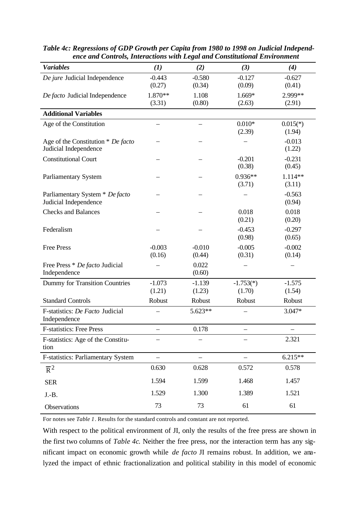| <b>Variables</b>                   | (1)      | (2)      | (3)             | (4)             |
|------------------------------------|----------|----------|-----------------|-----------------|
| De jure Judicial Independence      | $-0.443$ | $-0.580$ | $-0.127$        | $-0.627$        |
|                                    | (0.27)   | (0.34)   | (0.09)          | (0.41)          |
| De facto Judicial Independence     | 1.870**  | 1.108    | $1.669*$        | 2.999**         |
|                                    | (3.31)   | (0.80)   | (2.63)          | (2.91)          |
| <b>Additional Variables</b>        |          |          |                 |                 |
| Age of the Constitution            |          |          | $0.010*$        | $0.015(*)$      |
|                                    |          |          | (2.39)          | (1.94)          |
| Age of the Constitution * De facto |          |          |                 | $-0.013$        |
| Judicial Independence              |          |          |                 | (1.22)          |
| <b>Constitutional Court</b>        |          |          | $-0.201$        | $-0.231$        |
|                                    |          |          | (0.38)          | (0.45)          |
| Parliamentary System               |          |          | $0.936**$       | 1.114**         |
|                                    |          |          | (3.71)          | (3.11)          |
| Parliamentary System * De facto    |          |          |                 | $-0.563$        |
| Judicial Independence              |          |          |                 | (0.94)          |
| <b>Checks and Balances</b>         |          |          | 0.018<br>(0.21) | 0.018<br>(0.20) |
| Federalism                         |          |          | $-0.453$        | $-0.297$        |
|                                    |          |          | (0.98)          | (0.65)          |
| <b>Free Press</b>                  | $-0.003$ | $-0.010$ | $-0.005$        | $-0.002$        |
|                                    | (0.16)   | (0.44)   | (0.31)          | (0.14)          |
| Free Press * De facto Judicial     |          | 0.022    |                 |                 |
| Independence                       |          | (0.60)   |                 |                 |
| Dummy for Transition Countries     | $-1.073$ | $-1.139$ | $-1.753(*)$     | $-1.575$        |
|                                    | (1.21)   | (1.23)   | (1.70)          | (1.54)          |
| <b>Standard Controls</b>           | Robust   | Robust   | Robust          | Robust          |
| F-statistics: De Facto Judicial    |          | 5.623**  |                 | $3.047*$        |
| Independence                       |          |          |                 |                 |
| <b>F-statistics: Free Press</b>    |          | 0.178    |                 |                 |
| F-statistics: Age of the Constitu- |          |          |                 | 2.321           |
| tion                               |          |          |                 |                 |
| F-statistics: Parliamentary System |          |          |                 | $6.215**$       |
| $\overline{R}^2$                   | 0.630    | 0.628    | 0.572           | 0.578           |
| <b>SER</b>                         | 1.594    | 1.599    | 1.468           | 1.457           |
| $J.-B.$                            | 1.529    | 1.300    | 1.389           | 1.521           |
| Observations                       | 73       | 73       | 61              | 61              |

*Table 4c: Regressions of GDP Growth per Capita from 1980 to 1998 on Judicial Independence and Controls, Interactions with Legal and Constitutional Environment*

For notes see *Table 1*. Results for the standard controls and constant are not reported.

With respect to the political environment of JI, only the results of the free press are shown in the first two columns of *Table 4c*. Neither the free press, nor the interaction term has any significant impact on economic growth while *de facto* JI remains robust. In addition, we analyzed the impact of ethnic fractionalization and political stability in this model of economic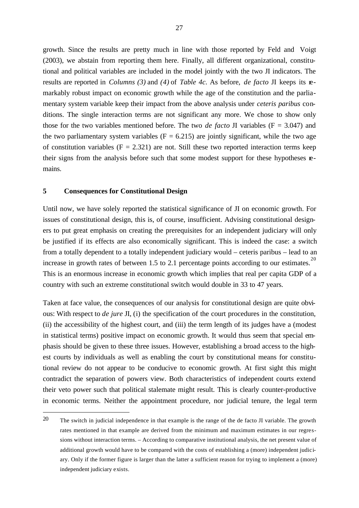growth. Since the results are pretty much in line with those reported by Feld and Voigt (2003), we abstain from reporting them here. Finally, all different organizational, constitutional and political variables are included in the model jointly with the two JI indicators. The results are reported in *Columns (3)* and *(4)* of *Table 4c*. As before, *de facto* JI keeps its remarkably robust impact on economic growth while the age of the constitution and the parliamentary system variable keep their impact from the above analysis under *ceteris paribus* conditions. The single interaction terms are not significant any more. We chose to show only those for the two variables mentioned before. The two *de facto* JI variables ( $F = 3.047$ ) and the two parliamentary system variables ( $F = 6.215$ ) are jointly significant, while the two age of constitution variables  $(F = 2.321)$  are not. Still these two reported interaction terms keep their signs from the analysis before such that some modest support for these hypotheses remains.

#### **5 Consequences for Constitutional Design**

l

Until now, we have solely reported the statistical significance of JI on economic growth. For issues of constitutional design, this is, of course, insufficient. Advising constitutional designers to put great emphasis on creating the prerequisites for an independent judiciary will only be justified if its effects are also economically significant. This is indeed the case: a switch from a totally dependent to a totally independent judiciary would – ceteris paribus – lead to an increase in growth rates of between 1.5 to 2.1 percentage points according to our estimates. 20 This is an enormous increase in economic growth which implies that real per capita GDP of a country with such an extreme constitutional switch would double in 33 to 47 years.

Taken at face value, the consequences of our analysis for constitutional design are quite obvious: With respect to *de jure* JI, (i) the specification of the court procedures in the constitution, (ii) the accessibility of the highest court, and (iii) the term length of its judges have a (modest in statistical terms) positive impact on economic growth. It would thus seem that special emphasis should be given to these three issues. However, establishing a broad access to the highest courts by individuals as well as enabling the court by constitutional means for constitutional review do not appear to be conducive to economic growth. At first sight this might contradict the separation of powers view. Both characteristics of independent courts extend their veto power such that political stalemate might result. This is clearly counter-productive in economic terms. Neither the appointment procedure, nor judicial tenure, the legal term

<sup>20</sup> The switch in judicial independence in that example is the range of the de facto JI variable. The growth rates mentioned in that example are derived from the minimum and maximum estimates in our regressions without interaction terms. – According to comparative institutional analysis, the net present value of additional growth would have to be compared with the costs of establishing a (more) independent judiciary. Only if the former figure is larger than the latter a sufficient reason for trying to implement a (more) independent judiciary exists.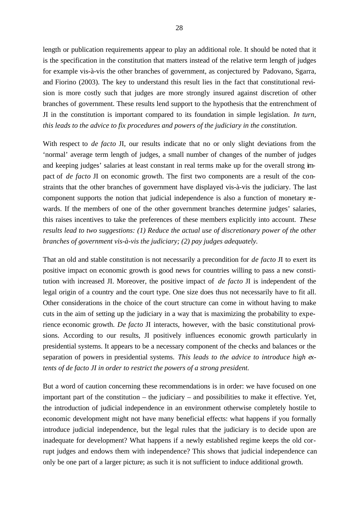length or publication requirements appear to play an additional role. It should be noted that it is the specification in the constitution that matters instead of the relative term length of judges for example vis-à-vis the other branches of government, as conjectured by Padovano, Sgarra, and Fiorino (2003). The key to understand this result lies in the fact that constitutional revision is more costly such that judges are more strongly insured against discretion of other branches of government. These results lend support to the hypothesis that the entrenchment of JI in the constitution is important compared to its foundation in simple legislation. *In turn, this leads to the advice to fix procedures and powers of the judiciary in the constitution.*

With respect to *de facto* JI, our results indicate that no or only slight deviations from the 'normal' average term length of judges, a small number of changes of the number of judges and keeping judges' salaries at least constant in real terms make up for the overall strong impact of *de facto* JI on economic growth. The first two components are a result of the constraints that the other branches of government have displayed vis-à-vis the judiciary. The last component supports the notion that judicial independence is also a function of monetary rewards. If the members of one of the other government branches determine judges' salaries, this raises incentives to take the preferences of these members explicitly into account. *These results lead to two suggestions: (1) Reduce the actual use of discretionary power of the other branches of government vis-à-vis the judiciary; (2) pay judges adequately.*

That an old and stable constitution is not necessarily a precondition for *de facto* JI to exert its positive impact on economic growth is good news for countries willing to pass a new constitution with increased JI. Moreover, the positive impact of *de facto* JI is independent of the legal origin of a country and the court type. One size does thus not necessarily have to fit all. Other considerations in the choice of the court structure can come in without having to make cuts in the aim of setting up the judiciary in a way that is maximizing the probability to experience economic growth. *De facto* JI interacts, however, with the basic constitutional provisions. According to our results, JI positively influences economic growth particularly in presidential systems. It appears to be a necessary component of the checks and balances or the separation of powers in presidential systems. *This leads to the advice to introduce high extents of de facto JI in order to restrict the powers of a strong president.*

But a word of caution concerning these recommendations is in order: we have focused on one important part of the constitution – the judiciary – and possibilities to make it effective. Yet, the introduction of judicial independence in an environment otherwise completely hostile to economic development might not have many beneficial effects: what happens if you formally introduce judicial independence, but the legal rules that the judiciary is to decide upon are inadequate for development? What happens if a newly established regime keeps the old corrupt judges and endows them with independence? This shows that judicial independence can only be one part of a larger picture; as such it is not sufficient to induce additional growth.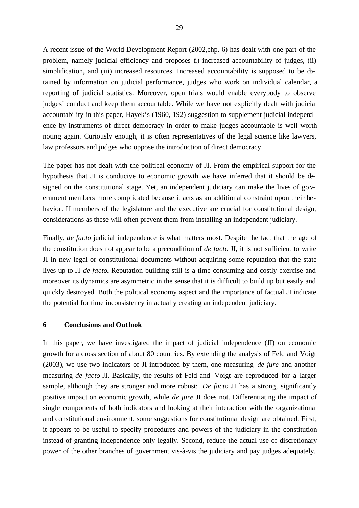A recent issue of the World Development Report (2002,chp. 6) has dealt with one part of the problem, namely judicial efficiency and proposes (i) increased accountability of judges, (ii) simplification, and (iii) increased resources. Increased accountability is supposed to be  $\Phi$ tained by information on judicial performance, judges who work on individual calendar, a reporting of judicial statistics. Moreover, open trials would enable everybody to observe judges' conduct and keep them accountable. While we have not explicitly dealt with judicial accountability in this paper, Hayek's (1960, 192) suggestion to supplement judicial independence by instruments of direct democracy in order to make judges accountable is well worth noting again. Curiously enough, it is often representatives of the legal science like lawyers, law professors and judges who oppose the introduction of direct democracy.

The paper has not dealt with the political economy of JI. From the empirical support for the hypothesis that JI is conducive to economic growth we have inferred that it should be designed on the constitutional stage. Yet, an independent judiciary can make the lives of government members more complicated because it acts as an additional constraint upon their behavior. If members of the legislature and the executive are crucial for constitutional design, considerations as these will often prevent them from installing an independent judiciary.

Finally, *de facto* judicial independence is what matters most. Despite the fact that the age of the constitution does not appear to be a precondition of *de facto* JI, it is not sufficient to write JI in new legal or constitutional documents without acquiring some reputation that the state lives up to JI *de facto*. Reputation building still is a time consuming and costly exercise and moreover its dynamics are asymmetric in the sense that it is difficult to build up but easily and quickly destroyed. Both the political economy aspect and the importance of factual JI indicate the potential for time inconsistency in actually creating an independent judiciary.

#### **6 Conclusions and Outlook**

In this paper, we have investigated the impact of judicial independence (JI) on economic growth for a cross section of about 80 countries. By extending the analysis of Feld and Voigt (2003), we use two indicators of JI introduced by them, one measuring *de jure* and another measuring *de facto* JI. Basically, the results of Feld and Voigt are reproduced for a larger sample, although they are stronger and more robust: *De facto* JI has a strong, significantly positive impact on economic growth, while *de jure* JI does not. Differentiating the impact of single components of both indicators and looking at their interaction with the organizational and constitutional environment, some suggestions for constitutional design are obtained. First, it appears to be useful to specify procedures and powers of the judiciary in the constitution instead of granting independence only legally. Second, reduce the actual use of discretionary power of the other branches of government vis-à-vis the judiciary and pay judges adequately.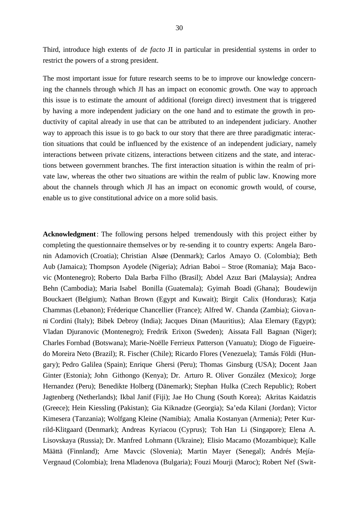Third, introduce high extents of *de facto* JI in particular in presidential systems in order to restrict the powers of a strong president.

The most important issue for future research seems to be to improve our knowledge concerning the channels through which JI has an impact on economic growth. One way to approach this issue is to estimate the amount of additional (foreign direct) investment that is triggered by having a more independent judiciary on the one hand and to estimate the growth in productivity of capital already in use that can be attributed to an independent judiciary. Another way to approach this issue is to go back to our story that there are three paradigmatic interaction situations that could be influenced by the existence of an independent judiciary, namely interactions between private citizens, interactions between citizens and the state, and interactions between government branches. The first interaction situation is within the realm of private law, whereas the other two situations are within the realm of public law. Knowing more about the channels through which JI has an impact on economic growth would, of course, enable us to give constitutional advice on a more solid basis.

**Acknowledgment**: The following persons helped tremendously with this project either by completing the questionnaire themselves or by re-sending it to country experts: Angela Baronin Adamovich (Croatia); Christian Alsøe (Denmark); Carlos Amayo O. (Colombia); Beth Aub (Jamaica); Thompson Ayodele (Nigeria); Adrian Baboi – Stroe (Romania); Maja Bacovic (Montenegro); Roberto Dala Barba Filho (Brasil); Abdel Azuz Bari (Malaysia); Andrea Behn (Cambodia); Maria Isabel Bonilla (Guatemala); Gyimah Boadi (Ghana); Boudewijn Bouckaert (Belgium); Nathan Brown (Egypt and Kuwait); Birgit Calix (Honduras); Katja Chammas (Lebanon); Fréderique Chancellier (France); Alfred W. Chanda (Zambia); Giovanni Cordini (Italy); Bibek Debroy (India); Jacques Dinan (Mauritius); Alaa Elemary (Egypt); Vladan Djuranovic (Montenegro); Fredrik Erixon (Sweden); Aissata Fall Bagnan (Niger); Charles Fornbad (Botswana); Marie-Noëlle Ferrieux Patterson (Vanuatu); Diogo de Figueiredo Moreira Neto (Brazil); R. Fischer (Chile); Ricardo Flores (Venezuela); Tamás Földi (Hungary); Pedro Galilea (Spain); Enrique Ghersi (Peru); Thomas Ginsburg (USA); Docent Jaan Ginter (Estonia); John Githongo (Kenya); Dr. Arturo R. Oliver González (Mexico); Jorge Hernandez (Peru); Benedikte Holberg (Dänemark); Stephan Hulka (Czech Republic); Robert Jagtenberg (Netherlands); Ikbal Janif (Fiji); Jae Ho Chung (South Korea); Akritas Kaidatzis (Greece); Hein Kiessling (Pakistan); Gia Kiknadze (Georgia); Sa'eda Kilani (Jordan); Victor Kimesera (Tanzania); Wolfgang Kleine (Namibia); Amalia Kostanyan (Armenia); Peter Kurrild-Klitgaard (Denmark); Andreas Kyriacou (Cyprus); Toh Han Li (Singapore); Elena A. Lisovskaya (Russia); Dr. Manfred Lohmann (Ukraine); Elisio Macamo (Mozambique); Kalle Määttä (Finnland); Arne Mavcic (Slovenia); Martin Mayer (Senegal); Andrés Mejía-Vergnaud (Colombia); Irena Mladenova (Bulgaria); Fouzi Mourji (Maroc); Robert Nef (Swit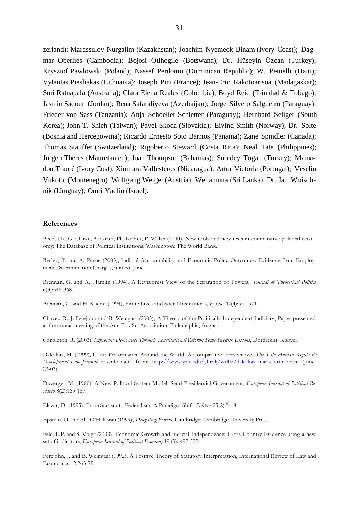zerland); Marassulov Nurgalim (Kazakhstan); Joachim Nyemeck Binam (Ivory Coast); Dagmar Oberlies (Cambodia); Bojosi Otlhogile (Botswana); Dr. Hüseyin Özcan (Turkey); Krysztof Pawlowski (Poland); Nassef Perdomo (Dominican Republic); W. Petuelli (Haiti); Vytautas Piesliakas (Lithuania); Joseph Pini (France); Jean-Eric Rakotoarisoa (Madagaskar); Suri Ratnapala (Australia); Clara Elena Reales (Colombia); Boyd Reid (Trinidad & Tobago); Jasmin Sadoun (Jordan); Rena Safaraliyeva (Azerbaijan); Jorge Silvero Salgueiro (Paraguay); Frieder von Sass (Tanzania); Anja Schoeller-Schletter (Paraguay); Bernhard Seliger (South Korea); John T. Shieh (Taiwan); Pavel Skoda (Slovakia); Eivind Smith (Norway); Dr. Solte (Bosnia and Hercegowina); Ricardo Ernesto Soto Barrios (Panama); Zane Spindler (Canada); Thomas Stauffer (Switzerland); Rigoberto Steward (Costa Rica); Neal Tate (Philippines); Jürgen Theres (Mauretanien); Joan Thompson (Bahamas); Sübidey Togan (Turkey); Mamadou Traoré (Ivory Cost); Xiomara Vallesteros (Nicaragua); Artur Victoria (Portugal); Veselin Vukotic (Montenegro); Wolfgang Weigel (Austria); Weliamuna (Sri Lanka); Dr. Jan Woischnik (Uruguay); Omri Yadlin (Israel).

#### **References**

Beck, Th., G. Clarke, A. Groff, Ph. Keefer, P. Walsh (2000), New tools and new tests in comparative political eco nomy: The Database of Political Institutions, Washington: The World Bank.

Besley, T. and A. Payne (2003); Judicial Accountability and Economic Policy Outcomes: Evidence from Employment Discrimination Charges, mimeo, June.

Brennan, G. and A. Hamlin (1994), A Revisionist View of the Separation of Powers, *Journal of Theoretical Politics* 6(3):345-368.

Brennan, G. and H. Kliemt (1994), Finite Lives and Social Institutions, *Kyklos* 47(4):551-571.

Chavez, R., J. Ferejohn and B. Weingast (2003); A Theory of the Politically Independent Judiciary, Paper presented at the annual meeting of the Am. Pol. Sc. Association, Philadelphia, August.

Congleton, R. (2003); *Improving Democracy Through Constitutional Reform: Some Swedish Lessons*, Dordrecht: Kluwer.

Dakolias, M. (1999), Court Performance Around the World: A Comparative Perspective, *The Yale Human Rights & Development Law Journal*; downloadable from: http://www.yale.edu/yhrdlj/yol02/dakolias\_maria\_article.htm (June-22-03).

Duverger, M. (1980), A New Political System Model: Semi-Presidential Government, *European Journal of Political Research* 8(2):165-187.

Elazar, D. (1995), From Statism to Federalism: A Paradigm Shift, *Publius* 25(2):5-18.

Epstein, D. and Sh. O'Halloran (1999), *Delegating Powers*, Cambridge: Cambridge University Press.

Feld, L.P. and S. Voigt (2003), Economic Growth and Judicial Independence: Cross-Country Evidence using a new set of indicators, *European Journal of Political Economy* 19 (3): 497-527.

Ferejohn, J. and B. Weingast (1992); A Positive Theory of Statutory Interpretation, International Review of Law and Economics 12:263-79.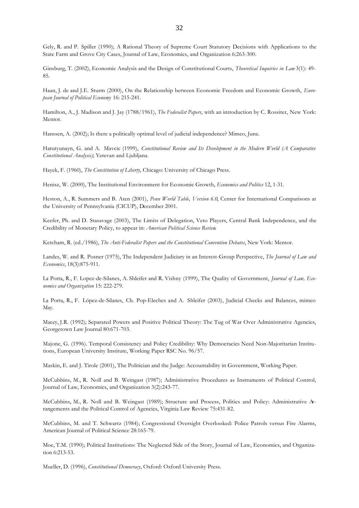Gely, R. and P. Spiller (1990); A Rational Theory of Supreme Court Statutory Decisions with Applications to the State Farm and Grove City Cases, Journal of Law, Economics, and Organization 6:263-300.

Ginsburg, T. (2002), Economic Analysis and the Design of Constitutional Courts, *Theoretical Inquiries in Law* 3(1): 49- 85.

Haan, J. de and J.E. Sturm (2000), On the Relationship between Economic Freedom and Economic Growth, *European Journal of Political Economy* 16: 215-241.

Hamilton, A., J. Madison and J. Jay (1788/1961), *The Federalist Papers*, with an introduction by C. Rossiter, New York: Mentor.

Hanssen, A. (2002); Is there a politically optimal level of judicial independence? Mimeo, June.

Harutyunayn, G. and A. Mavcic (1999), *Constitutional Review and Its Development in the Modern World (A Comparative Constitutional Analysis)*; Yerevan and Ljubljana.

Hayek, F. (1960), *The Constitution of Liberty*, Chicago: University of Chicago Press.

Henisz, W. (2000), The Institutional Environment for Economic Growth, *Economics and Politics* 12, 1-31.

Heston, A., R. Summers and B. Aten (2001), *Penn World Table, Version 6.0*, Center for International Comparisons at the University of Pennsylvania (CICUP), December 2001.

Keefer, Ph. and D. Stasavage (2003), The Limits of Delegation, Veto Players, Central Bank Independence, and the Credibility of Monetary Policy, to appear in: *American Political Science Review*.

Ketcham, R. (ed./1986), *The Anti-Federalist Papers and the Constitutional Convention Debates*, New York: Mentor.

Landes, W. and R. Posner (1975), The Independent Judiciary in an Interest-Group Perspective, *The Journal of Law and Economics*, 18(3):875-911.

La Porta, R., F. Lopez-de-Silanes, A. Shleifer and R. Vishny (1999), The Quality of Government, *Journal of Law, Economics and Organization* 15: 222-279.

La Porta, R., F. López-de-Silanes, Ch. Pop-Eleches and A. Shleifer (2003), Judicial Checks and Balances, mimeo May.

Macey, J.R. (1992); Separated Powers and Positive Political Theory: The Tug of War Over Administrative Agencies, Georgetown Law Journal 80:671-703.

Majone, G. (1996). Temporal Consistency and Policy Credibility: Why Democracies Need Non-Majoritarian Institutions, European University Institute, Working Paper RSC No. 96/57.

Maskin, E. and J. Tirole (2001), The Politician and the Judge: Accountability in Government, Working Paper.

McCubbins, M., R. Noll and B. Weingast (1987); Administrative Procedures as Instruments of Political Control, Journal of Law, Economics, and Organization 3(2):243-77.

McCubbins, M., R. Noll and B. Weingast (1989); Structure and Process, Politics and Policy: Administrative Arrangements and the Political Control of Agencies, Virginia Law Review 75:431-82.

McCubbins, M. and T. Schwartz (1984); Congressional Oversight Overlooked: Police Patrols versus Fire Alarms, American Journal of Political Science 28:165-79.

Moe, T.M. (1990); Political Institutions: The Neglected Side of the Story, Journal of Law, Economics, and Organization 6:213-53.

Mueller, D. (1996), *Constitutional Democracy*, Oxford: Oxford University Press.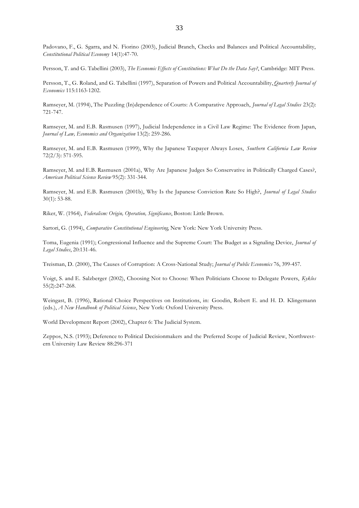Padovano, F., G. Sgarra, and N. Fiorino (2003), Judicial Branch, Checks and Balances and Political Accountability, *Constitutional Political Economy* 14(1):47-70.

Persson, T. and G. Tabellini (2003), *The Economic Effects of Constitutions: What Do the Data Say?*, Cambridge: MIT Press.

Persson, T., G. Roland, and G. Tabellini (1997), Separation of Powers and Political Accountability, *Quarterly Journal of Economics* 115:1163-1202.

Ramseyer, M. (1994), The Puzzling (In)dependence of Courts: A Comparative Approach, *Journal of Legal Studies* 23(2): 721-747.

Ramseyer, M. and E.B. Rasmusen (1997), Judicial Independence in a Civil Law Regime: The Evidence from Japan, *Journal of Law, Economics and Organization* 13(2): 259-286.

Ramseyer, M. and E.B. Rasmusen (1999), Why the Japanese Taxpayer Always Loses, *Southern California Law Review* 72(2/3): 571-595.

Ramseyer, M. and E.B. Rasmusen (2001a), Why Are Japanese Judges So Conservative in Politically Charged Cases?, *American Political Science Review* 95(2): 331-344.

Ramseyer, M. and E.B. Rasmusen (2001b), Why Is the Japanese Conviction Rate So High?, *Journal of Legal Studies* 30(1): 53-88.

Riker, W. (1964), *Federalism: Origin, Operation, Significance*, Boston: Little Brown.

Sartori, G. (1994), *Comparative Constitutional Engineering*, New York: New York University Press.

Toma, Eugenia (1991); Congressional Influence and the Supreme Court: The Budget as a Signaling Device, *Journal of Legal Studies*, 20:131-46.

Treisman, D. (2000), The Causes of Corruption: A Cross-National Study; *Journal of Public Economics* 76, 399-457.

Voigt, S. and E. Salzberger (2002), Choosing Not to Choose: When Politicians Choose to Delegate Powers, *Kyklos* 55(2):247-268.

Weingast, B. (1996), Rational Choice Perspectives on Institutions, in: Goodin, Robert E. and H. D. Klingemann (eds.), *A New Handbook of Political Science*, New York: Oxford University Press.

World Development Report (2002), Chapter 6: The Judicial System.

Zeppos, N.S. (1993); Deference to Political Decisionmakers and the Preferred Scope of Judicial Review, Northwestern University Law Review 88:296-371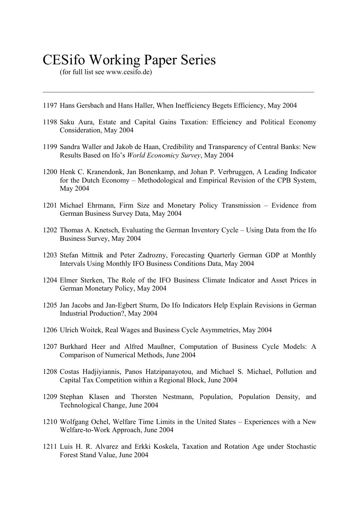# CESifo Working Paper Series

(for full list see www.cesifo.de)

- 1197 Hans Gersbach and Hans Haller, When Inefficiency Begets Efficiency, May 2004
- 1198 Saku Aura, Estate and Capital Gains Taxation: Efficiency and Political Economy Consideration, May 2004

 $\mathcal{L}_\mathcal{L} = \{ \mathcal{L}_\mathcal{L} = \{ \mathcal{L}_\mathcal{L} = \{ \mathcal{L}_\mathcal{L} = \{ \mathcal{L}_\mathcal{L} = \{ \mathcal{L}_\mathcal{L} = \{ \mathcal{L}_\mathcal{L} = \{ \mathcal{L}_\mathcal{L} = \{ \mathcal{L}_\mathcal{L} = \{ \mathcal{L}_\mathcal{L} = \{ \mathcal{L}_\mathcal{L} = \{ \mathcal{L}_\mathcal{L} = \{ \mathcal{L}_\mathcal{L} = \{ \mathcal{L}_\mathcal{L} = \{ \mathcal{L}_\mathcal{$ 

- 1199 Sandra Waller and Jakob de Haan, Credibility and Transparency of Central Banks: New Results Based on Ifo's *World Economicy Survey*, May 2004
- 1200 Henk C. Kranendonk, Jan Bonenkamp, and Johan P. Verbruggen, A Leading Indicator for the Dutch Economy – Methodological and Empirical Revision of the CPB System, May 2004
- 1201 Michael Ehrmann, Firm Size and Monetary Policy Transmission Evidence from German Business Survey Data, May 2004
- 1202 Thomas A. Knetsch, Evaluating the German Inventory Cycle Using Data from the Ifo Business Survey, May 2004
- 1203 Stefan Mittnik and Peter Zadrozny, Forecasting Quarterly German GDP at Monthly Intervals Using Monthly IFO Business Conditions Data, May 2004
- 1204 Elmer Sterken, The Role of the IFO Business Climate Indicator and Asset Prices in German Monetary Policy, May 2004
- 1205 Jan Jacobs and Jan-Egbert Sturm, Do Ifo Indicators Help Explain Revisions in German Industrial Production?, May 2004
- 1206 Ulrich Woitek, Real Wages and Business Cycle Asymmetries, May 2004
- 1207 Burkhard Heer and Alfred Maußner, Computation of Business Cycle Models: A Comparison of Numerical Methods, June 2004
- 1208 Costas Hadjiyiannis, Panos Hatzipanayotou, and Michael S. Michael, Pollution and Capital Tax Competition within a Regional Block, June 2004
- 1209 Stephan Klasen and Thorsten Nestmann, Population, Population Density, and Technological Change, June 2004
- 1210 Wolfgang Ochel, Welfare Time Limits in the United States Experiences with a New Welfare-to-Work Approach, June 2004
- 1211 Luis H. R. Alvarez and Erkki Koskela, Taxation and Rotation Age under Stochastic Forest Stand Value, June 2004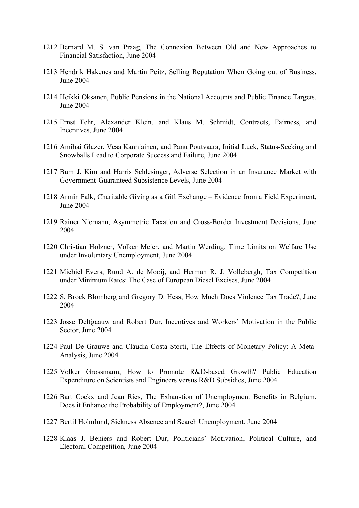- 1212 Bernard M. S. van Praag, The Connexion Between Old and New Approaches to Financial Satisfaction, June 2004
- 1213 Hendrik Hakenes and Martin Peitz, Selling Reputation When Going out of Business, June 2004
- 1214 Heikki Oksanen, Public Pensions in the National Accounts and Public Finance Targets, June 2004
- 1215 Ernst Fehr, Alexander Klein, and Klaus M. Schmidt, Contracts, Fairness, and Incentives, June 2004
- 1216 Amihai Glazer, Vesa Kanniainen, and Panu Poutvaara, Initial Luck, Status-Seeking and Snowballs Lead to Corporate Success and Failure, June 2004
- 1217 Bum J. Kim and Harris Schlesinger, Adverse Selection in an Insurance Market with Government-Guaranteed Subsistence Levels, June 2004
- 1218 Armin Falk, Charitable Giving as a Gift Exchange Evidence from a Field Experiment, June 2004
- 1219 Rainer Niemann, Asymmetric Taxation and Cross-Border Investment Decisions, June 2004
- 1220 Christian Holzner, Volker Meier, and Martin Werding, Time Limits on Welfare Use under Involuntary Unemployment, June 2004
- 1221 Michiel Evers, Ruud A. de Mooij, and Herman R. J. Vollebergh, Tax Competition under Minimum Rates: The Case of European Diesel Excises, June 2004
- 1222 S. Brock Blomberg and Gregory D. Hess, How Much Does Violence Tax Trade?, June 2004
- 1223 Josse Delfgaauw and Robert Dur, Incentives and Workers' Motivation in the Public Sector, June 2004
- 1224 Paul De Grauwe and Cláudia Costa Storti, The Effects of Monetary Policy: A Meta-Analysis, June 2004
- 1225 Volker Grossmann, How to Promote R&D-based Growth? Public Education Expenditure on Scientists and Engineers versus R&D Subsidies, June 2004
- 1226 Bart Cockx and Jean Ries, The Exhaustion of Unemployment Benefits in Belgium. Does it Enhance the Probability of Employment?, June 2004
- 1227 Bertil Holmlund, Sickness Absence and Search Unemployment, June 2004
- 1228 Klaas J. Beniers and Robert Dur, Politicians' Motivation, Political Culture, and Electoral Competition, June 2004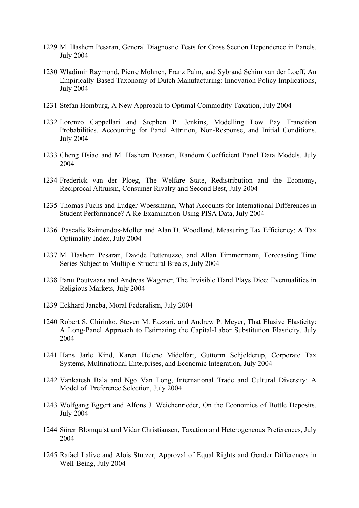- 1229 M. Hashem Pesaran, General Diagnostic Tests for Cross Section Dependence in Panels, July 2004
- 1230 Wladimir Raymond, Pierre Mohnen, Franz Palm, and Sybrand Schim van der Loeff, An Empirically-Based Taxonomy of Dutch Manufacturing: Innovation Policy Implications, July 2004
- 1231 Stefan Homburg, A New Approach to Optimal Commodity Taxation, July 2004
- 1232 Lorenzo Cappellari and Stephen P. Jenkins, Modelling Low Pay Transition Probabilities, Accounting for Panel Attrition, Non-Response, and Initial Conditions, July 2004
- 1233 Cheng Hsiao and M. Hashem Pesaran, Random Coefficient Panel Data Models, July 2004
- 1234 Frederick van der Ploeg, The Welfare State, Redistribution and the Economy, Reciprocal Altruism, Consumer Rivalry and Second Best, July 2004
- 1235 Thomas Fuchs and Ludger Woessmann, What Accounts for International Differences in Student Performance? A Re-Examination Using PISA Data, July 2004
- 1236 Pascalis Raimondos-Møller and Alan D. Woodland, Measuring Tax Efficiency: A Tax Optimality Index, July 2004
- 1237 M. Hashem Pesaran, Davide Pettenuzzo, and Allan Timmermann, Forecasting Time Series Subject to Multiple Structural Breaks, July 2004
- 1238 Panu Poutvaara and Andreas Wagener, The Invisible Hand Plays Dice: Eventualities in Religious Markets, July 2004
- 1239 Eckhard Janeba, Moral Federalism, July 2004
- 1240 Robert S. Chirinko, Steven M. Fazzari, and Andrew P. Meyer, That Elusive Elasticity: A Long-Panel Approach to Estimating the Capital-Labor Substitution Elasticity, July 2004
- 1241 Hans Jarle Kind, Karen Helene Midelfart, Guttorm Schjelderup, Corporate Tax Systems, Multinational Enterprises, and Economic Integration, July 2004
- 1242 Vankatesh Bala and Ngo Van Long, International Trade and Cultural Diversity: A Model of Preference Selection, July 2004
- 1243 Wolfgang Eggert and Alfons J. Weichenrieder, On the Economics of Bottle Deposits, July 2004
- 1244 Sören Blomquist and Vidar Christiansen, Taxation and Heterogeneous Preferences, July 2004
- 1245 Rafael Lalive and Alois Stutzer, Approval of Equal Rights and Gender Differences in Well-Being, July 2004